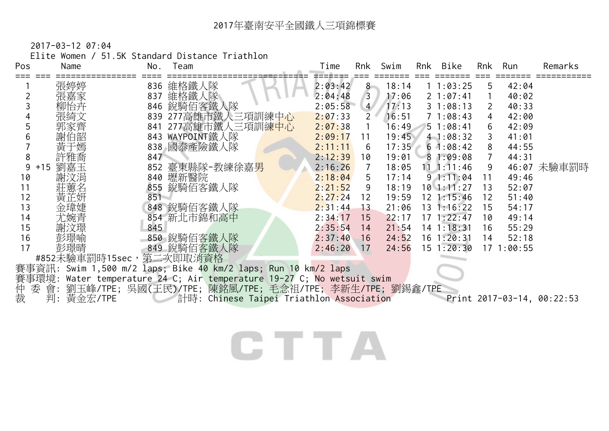2017-03-12 07:04

Elite Women / 51.5K Standard Distance Triathlon

| Pos | Name                     | No. | Team                                                                                | Time    | Rnk            | Swim  | Rnk | Bike              | Rnk | Run        | Remarks                    |
|-----|--------------------------|-----|-------------------------------------------------------------------------------------|---------|----------------|-------|-----|-------------------|-----|------------|----------------------------|
|     | 張婷婷                      |     | 836 維格鐵人隊                                                                           | 2:03:42 | $8 -$          | 18:14 |     | 11:03:25          | 5   | 42:04      |                            |
|     | 張嘉家                      | 837 | 維格鐵人隊                                                                               | 2:04:48 | $\mathbf{3}$   | 17:06 |     | $2 \t1:07:41$     |     | 40:02      |                            |
|     | 柳怡卉                      |     | 846 銳騎佰客鐵人隊                                                                         | 2:05:58 | $\overline{4}$ | 17:13 |     | 31:08:13          | 2   | 40:33      |                            |
|     | 張綺文                      |     | 839 277高雄市鐵人三項訓練中心                                                                  | 2:07:33 | $2^+$          | 16:51 |     | 71:08:43          | 4   | 42:00      |                            |
| 5   | 郭家齊                      |     | 841 277高雄市鐵人三項訓練中心                                                                  | 2:07:38 | $\overline{1}$ | 16:49 |     | 51:08:41          | 6   | 42:09      |                            |
| 6   | 謝伯韶                      |     | 843 WAYPOINT鐵人隊                                                                     | 2:09:17 | 11             | 19:45 |     | 41:08:32          |     | 41:01      |                            |
|     | 黃于嫣                      |     | 838 國泰產險鐵人隊                                                                         | 2:11:11 | 6              | 17:35 |     | $6 \cdot 1:08:42$ | 8   | 44:55      |                            |
| 8   | 許雅喬                      | 847 |                                                                                     | 2:12:39 | 10             | 19:01 |     | 81:09:08          |     | 44:31      |                            |
| 9   | 劉嘉玉<br>$+15$             |     | 852 臺東縣隊-教練徐嘉男                                                                      | 2:16:26 | $\overline{7}$ | 18:05 |     | $11 \t1:11:46$    | 9   |            | 46:07 未驗車罰時                |
| 10  | 謝汶涓                      |     | 840 壢新醫院                                                                            | 2:18:04 | 5              | 17:14 |     | 91:11:04          | 11  | 49:46      |                            |
| 11  | 莊蕙名                      |     | 855 銳騎佰客鐵人隊                                                                         | 2:21:52 | 9              | 18:19 |     | $10$ 1:11:27      | 13  | 52:07      |                            |
| 12  | 黃芷妍                      | 851 |                                                                                     | 2:27:24 | 12             | 19:59 |     | $12 \; 1:15:46$   | 12  | 51:40      |                            |
| 13  | 金瑋婕                      |     | 848 銳騎佰客鐵人隊                                                                         | 2:31:44 | 13             | 21:06 |     | $13 \t1:16:22$    | 15  | 54:17      |                            |
| 14  | 尤婉青                      |     | 854 新北市錦和高中                                                                         | 2:34:17 | 15             | 22:17 |     | $17 \; 1:22:47$   | 10  | 49:14      |                            |
| 15  | 謝汶璟                      | 845 |                                                                                     | 2:35:54 | 14             | 21:54 |     | $14$ 1:18:31      | 16  | 55:29      |                            |
| 16  | 彭璟喻                      |     | 850 銳騎佰客鐵人隊                                                                         | 2:37:40 | 16             | 24:52 |     | $16 \t1:20:31$    | 14  | 52:18      |                            |
| 17  | 彭璟晴                      |     | 849 銳騎佰客鐵人隊                                                                         | 2:46:20 | 17             | 24:56 |     | $15 \t1:20:30$    |     | 17 1:00:55 |                            |
|     | #852未驗車罰時15sec, 第二次即取消資格 |     |                                                                                     |         |                |       |     |                   |     |            |                            |
|     |                          |     | 賽事資訊: Swim 1,500 m/2 laps; Bike 40 km/2 laps; Run 10 km/2 laps                      |         |                |       |     |                   |     |            |                            |
|     |                          |     | 事環境: Water temperature 24 C; Air temperature 19-27 C; <mark>No wetsuit swi</mark> m |         |                |       |     |                   |     |            |                            |
| 仲   |                          |     | 委 會: 劉玉峰/TPE; 吳國(王民)/TPE; 陳銘風/TPE; 毛念祖/TPE; 李新生/TPE; 劉錫鑫/TPE                        |         |                |       |     |                   |     |            |                            |
| 裁   | 判:<br>黃金宏/TPE            |     | 計時: Chinese Taipei Triathlon Association                                            |         |                |       |     |                   |     |            | Print 2017-03-14, 00:22:53 |
|     |                          |     |                                                                                     |         |                |       |     |                   |     |            |                            |
|     |                          |     |                                                                                     |         |                |       |     |                   |     |            |                            |

CTTA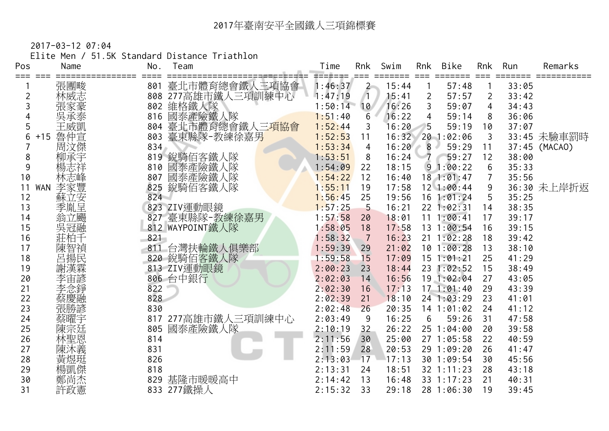2017-03-12 07:04

Elite Men / 51.5K Standard Distance Triathlon

| Pos   | Name              | No. | Team                                    | Time    | Rnk            | Swim  | Rnk            | Bike           | Rnk | Run   | Remarks       |
|-------|-------------------|-----|-----------------------------------------|---------|----------------|-------|----------------|----------------|-----|-------|---------------|
| $===$ | 張團畯               |     |                                         | 1:46:37 | $\mathbf{2}$   | 15:44 |                | =====<br>57:48 |     | 33:05 |               |
| 2     | 林威志               |     | 801 臺北市體育總會鐵人三項協會<br>808 277高雄市鐵人三項訓練中心 | 1:47:19 |                | 15:41 | $\overline{2}$ | 57:57          | 2   | 33:42 |               |
|       |                   | 802 | 維格鐵人隊                                   | 1:50:14 | 10             | 16:26 | 3              | 59:07          | 4   | 34:43 |               |
|       | 吳承泰               | 816 | 國泰產險鐵人隊                                 | 1:51:40 | 6              | 16:22 | 4              | 59:14          | 8   | 36:06 |               |
| 5     | 王威凱               | 804 | 臺北市體育總會鐵人三項協會                           | 1:52:44 | 3              | 16:20 | 5              | 59:19          | 10  | 37:07 |               |
| 6     | 魯仲宣<br>$+15$      | 803 | 臺東縣隊-教練徐嘉男                              | 1:52:53 | 11             | 16:32 |                | 20 1:02:06     | 3   |       | 33:45 未驗車罰時   |
|       | 周汶傑               | 834 |                                         | 1:53:34 | $\overline{4}$ | 16:20 | 8              | 59:29          | 11  |       | 37:45 (MACAO) |
| 8     | 柳承宇               |     | 819 銳騎佰客鐵人隊                             | 1:53:51 | 8              | 16:24 | $\overline{7}$ | 59:27          | 12  | 38:00 |               |
| 9     | 楊志祥               | 810 | 國泰產險鐵人隊                                 | 1:54:09 | 22             | 18:15 |                | 91:00:22       | 6   | 35:33 |               |
| 10    | 林志峰               | 807 | 國泰產險鐵人隊                                 | 1:54:22 | 12             | 16:40 |                | 181:01:47      | 7   | 35:56 |               |
| 11    | 李家豐<br><b>WAN</b> | 825 | 銳騎佰客鐵人隊                                 | 1:55:11 | 19             | 17:58 |                | $12$ 1:00:44   | 9   |       | 36:30 未上岸折返   |
| 12    | 蘇立安               | 824 |                                         | 1:56:45 | 25             | 19:56 |                | $16$ 1:01:24   | 5   | 35:25 |               |
| 13    | 季胤呈               |     | 823 ZIV運動眼鏡                             | 1:57:25 | 5              | 16:21 |                | 22 1:02:31     | 14  | 38:35 |               |
| 14    | 翁立颺               |     | 827 臺東縣隊-教練徐嘉男                          | 1:57:58 | 20             | 18:01 | 11             | 1:00:41        | 17  | 39:17 |               |
| 15    | 吳冠融               |     | 812 WAYPOINT鐵人隊                         | 1:58:05 | 18             | 17:58 |                | 13 1:00:54     | 16  | 39:15 |               |
| 16    | 莊柏千               | 821 |                                         | 1:58:32 | $\overline{7}$ | 16:23 |                | $21 \t1:02:28$ | 18  | 39:42 |               |
| 17    | 陳智禎民              | 811 | 台灣扶輪鐵人俱樂部                               | 1:59:39 | 29             | 21:02 |                | 101:00:28      | 13  | 38:10 |               |
| 18    |                   |     | 820 銳騎佰客鐵人隊                             | 1:59:58 | 15             | 17:09 | 15             | 1:01:21        | 25  | 41:29 |               |
| 19    | 謝漢霖               |     | 813 ZIV運動眼鏡                             | 2:00:23 | 23             | 18:44 |                | 23 1:02:52     | 15  | 38:49 |               |
| 20    | 李宙諺               |     | 806 台中銀行                                | 2:02:03 | 14             | 16:56 |                | 19 1:02:04     | 27  | 43:05 |               |
| 21    | 李念錚               | 822 |                                         | 2:02:30 | 16             | 17:13 |                | 171:01:40      | 29  | 43:39 |               |
| 22    | 蔡慶融               | 828 |                                         | 2:02:39 | 21             | 18:10 |                | 24 1:03:29     | 23  | 41:01 |               |
| 23    | 張勝諺               | 830 |                                         | 2:02:48 | 26             | 20:35 |                | 14 1:01:02     | 24  | 41:12 |               |
| 24    | 蔡曜宇               |     | 817 277高雄市鐵人三項訓練中心                      | 2:03:49 | 9              | 16:25 | 6              | 59:26          | 31  | 47:58 |               |
| 25    | 陳宗廷               | 805 | 國泰產險鐵人隊                                 | 2:10:19 | 32             | 26:22 |                | 25 1:04:00     | 20  | 39:58 |               |
| 26    | 林聖恩               | 814 |                                         | 2:11:56 | 30             | 25:00 |                | 27 1:05:58     | 22  | 40:59 |               |
| 27    | 陳沐義               | 831 |                                         | 2:11:59 | 28             | 20:53 |                | 29 1:09:20     | 26  | 41:47 |               |
| 28    | 黃煜珽               | 826 |                                         | 2:13:03 | 17             | 17:13 |                | 30 1:09:54     | 30  | 45:56 |               |
| 29    | 楊凱傑               | 818 |                                         | 2:13:31 | 24             | 18:51 |                | 32 1:11:23     | 28  | 43:18 |               |
| 30    | 鄭尚杰               | 829 | 基隆市暖暖高中                                 | 2:14:42 | 13             | 16:48 |                | 33 1:17:23     | 21  | 40:31 |               |
| 31    | 許政憲               |     | 833 277鐵操人                              | 2:15:32 | 33             | 29:18 |                | 28 1:06:30     | 19  | 39:45 |               |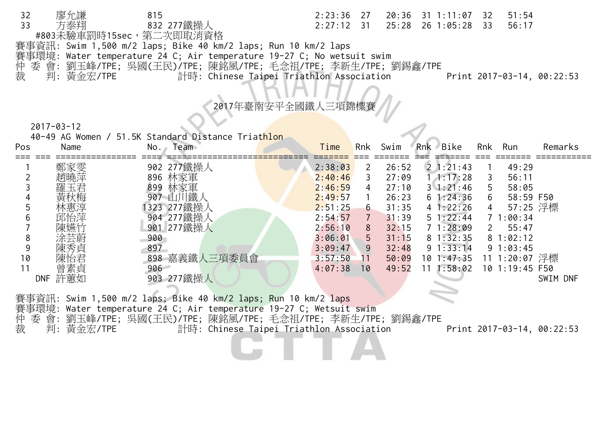| 32 | 廖允謙        | 815                                                                    |                                          |  | 2:23:36 27 20:36 31 1:11:07 32 51:54 |       |                            |
|----|------------|------------------------------------------------------------------------|------------------------------------------|--|--------------------------------------|-------|----------------------------|
| 33 | 方泰翔        | 832 277鐵操人                                                             | $2:27:12$ 31                             |  | 25:28 26 1:05:28 33                  | 56:17 |                            |
|    |            | #803未驗車罰時15sec,第二次即取消資格                                                |                                          |  |                                      |       |                            |
|    |            | 賽事資訊: Swim 1,500 m/2 laps; Bike 40 km/2 laps; Run 10 km/2 laps         |                                          |  |                                      |       |                            |
|    |            | 賽事環境: Water temperature 24 C; Air temperature 19-27 C; No wetsuit swim |                                          |  |                                      |       |                            |
|    |            | 仲 委 會: 劉玉峰/TPE; 吳國(王民)/TPE; 陳銘風/TPE; 毛念祖/TPE; 李新生/TPE; 劉錫鑫/TPE         |                                          |  |                                      |       |                            |
| 裁  | 判: 黃金宏/TPE |                                                                        | 計時: Chinese Taipei Triathlon Association |  |                                      |       | Print 2017-03-14, 00:22:53 |

2017年臺南安平全國錢

2017-03-12

40-49 AG Women / 51.5K Standard Distance Triathlon

| Pos | Name              | Team<br>No.   | Time    | Rnk | Swim  | Rnk Bike          | Rnk | Run            | Remarks  |
|-----|-------------------|---------------|---------|-----|-------|-------------------|-----|----------------|----------|
|     | 鄭家雯               | 902 277鐵操人    | 2:38:03 | 2   | 26:52 | $2 \cdot 1:21:43$ |     | 49:29          |          |
|     | 趙曉萍               | 林家軍<br>896    | 2:40:46 | 3   | 27:09 | 1:17:28           |     | 56:11          |          |
|     | 羅玉君               | 林家軍<br>899    | 2:46:59 | 4   | 27:10 | $3 \; 1:21:46$    | b   | 58:05          |          |
|     | 黃秋梅               | 鐵人<br>907     | 2:49:57 |     | 26:23 | $6 \; 1:24:36$    | 6   | 58:59 F50      |          |
|     | 林惠淳               | 1323 277鐵操人   | 2:51:25 | 6   | 31:35 | 41:22:26          | 4   | 57:25 浮標       |          |
|     | 邱怡萍               | 904 277鐵操人    | 2:54:57 | 7   | 31:39 | $5 \; 1:22:44$    |     | 1:00:34        |          |
|     | 陳嬿竹               | 901 277鐵操人    | 2:56:10 | 8   | 32:15 | 71:28:09          |     | 55:47          |          |
|     | 涂芸蔚               | 900           | 3:06:01 | 5   | 31:15 | 81:32:35          |     | 81:02:12       |          |
|     | 陳秀貞               | 897           | 3:09:47 | 9   | 32:48 | $9 \t1:33:14$     |     | 91:03:45       |          |
| 10  | 陳怡君               | 898 嘉義鐵人三項委員會 | 3:57:50 | 11  | 50:09 | 101:47:35         |     | 11 1:20:07 浮標  |          |
|     | 曾素貞               | 906           | 4:07:38 | 10  | 49:52 | 1:58:02<br>11     |     | 10 1:19:45 F50 |          |
|     | 許蕙如<br><b>DNF</b> | 277鐵操人<br>903 |         |     |       |                   |     |                | SWIM DNF |
|     |                   |               |         |     |       |                   |     |                |          |

賽事資訊: Swim 1,500 m/2 laps; Bike 40 km/2 laps; Run 10 km/2 laps 賽事環境: Water temperature 24 C; Air temperature 19-27 C; Wetsuit swim<br>仲 委 會: 劉玉峰/TPE; 吳國(王民)/TPE; 陳銘風/TPE; 毛念祖/TPE; 李新生/TPE

仲 委 會: 劉玉峰/TPE; 吳國(王民)/TPE; 陳銘風/TPE; 毛念祖/TPE; 李新生/TPE; 劉錫鑫/TPE

裁 判: 黃金宏/TPE 計時: Chinese Taipei Triathlon Association Print 2017-03-14, 00:22:53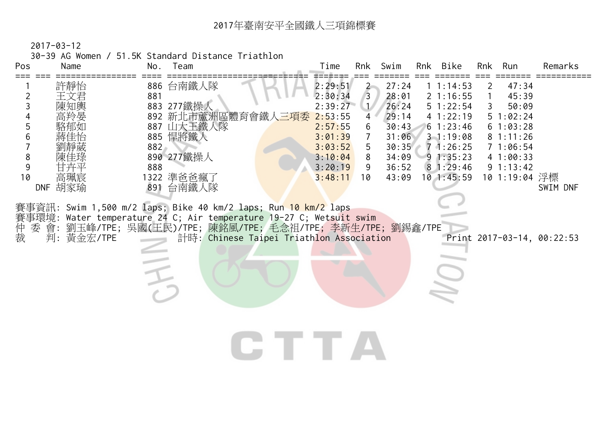2017-03-12

30-39 AG Women / 51.5K Standard Distance Triathlon

| Pos<br>Time<br>Swim<br>Rnk Bike<br>Team<br>Rnk<br>Name<br>No.                                                                                                                                                                                                                                                                                                                                                                                                                                                                                                                                                                                                                                                                                                                                                                                                                                                                                                                         | Run<br>Rnk                                                                                                                  | Remarks                                |
|---------------------------------------------------------------------------------------------------------------------------------------------------------------------------------------------------------------------------------------------------------------------------------------------------------------------------------------------------------------------------------------------------------------------------------------------------------------------------------------------------------------------------------------------------------------------------------------------------------------------------------------------------------------------------------------------------------------------------------------------------------------------------------------------------------------------------------------------------------------------------------------------------------------------------------------------------------------------------------------|-----------------------------------------------------------------------------------------------------------------------------|----------------------------------------|
| $===$<br>886 台南鐵人隊<br>許靜怡<br>2:29:51<br>27:24<br>11:14:53<br>$\mathbf{2}$<br>$\overline{3}$<br>881<br>2:30:34<br>28:01<br>21:16:55<br>$\overline{2}$<br>王文君<br>2:39:27<br>3<br>883 277鐵操人<br>1/<br>26:24<br>51:22:54<br>陳知輿<br>892 新北市蘆洲區體育會鐵人 <mark>三項委</mark><br>4 1:22:19<br>2:53:55<br>29:14<br>4<br>4<br>5<br>887 山大王鐵人隊<br>61:23:46<br>2:57:55<br>30:43<br>6<br>885 悍將鐵人<br>3:01:39<br>31:06<br>31:19:08<br>6<br>$\overline{7}$<br>882<br>3:03:52<br>5<br>30:35<br>71:26:25<br>890 277鐵操人<br>8<br>3:10:04<br>8<br>34:09<br>91:35:23<br>9<br>888<br>3:20:19<br>36:52<br>81:29:46<br>9<br>1322 準爸爸瘋了<br>10<br>高珮宸<br>3:48:11<br>$10$ 1:45:59<br>10<br>43:09<br>胡家瑜<br>891 台南鐵人隊<br><b>DNF</b><br>賽事資訊: Swim 1,500 m/2 laps; Bike 40 km/2 laps; Run 10 km/2 laps<br>賽事環境: Water temperature 24 C; Air temperature 19-27 C; Wetsuit swim<br>仲裁<br>委 會: 劉玉峰/TPE; 吳國(王民)/TPE; 陳銘風/TPE; 毛念祖/TPE; 李新生/TPE; 劉錫鑫/TPE<br>判: 黃金宏/TPE<br>計時: Chinese Taipei Triathlon Association<br>TE TE S | 47:34<br>2<br>45:39<br>50:09<br>3<br>51:02:24<br>61:03:28<br>81:11:26<br>71:06:54<br>41:00:33<br>9 1:13:42<br>10 1:19:04 浮標 | SWIM DNF<br>Print 2017-03-14, 00:22:53 |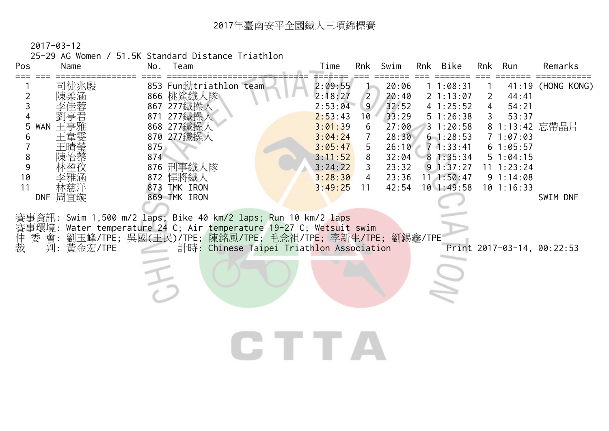2017-03-12

25-29 AG Women / 51.5K Standard Distance Triathlon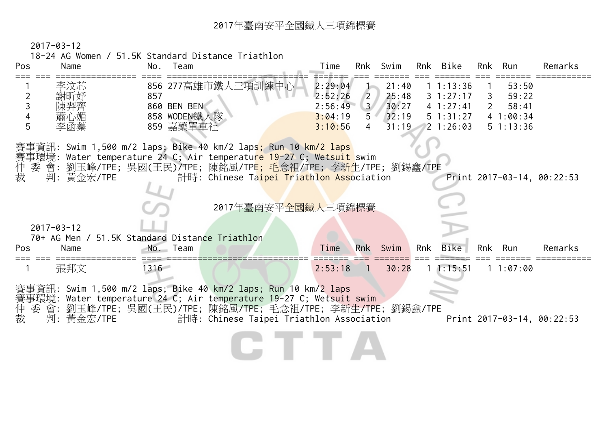2017-03-12

18-24 AG Women / 51.5K Standard Distance Triathlon

| Pos    | Name             | Team<br>No.               |                                                                                                                                                                                                                                                                                 | Time               | Rnk                           | Swim           |     | Rnk Bike               | Rnk | Run                       | Remarks                    |
|--------|------------------|---------------------------|---------------------------------------------------------------------------------------------------------------------------------------------------------------------------------------------------------------------------------------------------------------------------------|--------------------|-------------------------------|----------------|-----|------------------------|-----|---------------------------|----------------------------|
| 2      | 李汶芯<br>謝昕妤       | 857                       | 856 277高雄市鐵人三項訓練中心                                                                                                                                                                                                                                                              | 2:29:04<br>2:52:26 | $\overline{2}$                | 21:40<br>25:48 |     | 11:13:36<br>31:27:17   | 3   | 53:50<br>59:22            |                            |
|        | 陳羿齊              | 860 BEN BEN               |                                                                                                                                                                                                                                                                                 | 2:56:49            | 3 <sup>7</sup>                | 30:27          |     | 4 1:27:41              |     | 58:41                     |                            |
| 5      | 蕭心媚<br>李函蓁       | 858 WODEN鐵人隊<br>859 嘉藥單車社 |                                                                                                                                                                                                                                                                                 | 3:04:19<br>3:10:56 | $5^{\circ}$<br>$\overline{4}$ | 32:19<br>31:19 |     | 5 1:31:27<br>2 1:26:03 |     | 41:00:34<br>$5 \t1:13:36$ |                            |
| 仲裁     | 判:黃金宏/TPE        |                           | 賽事資訊: Swim 1,500 m/2 laps; Bike 40 km/2 laps; Run 10 km/2 laps<br>賽事環境: Water temperature 24 C; Air temperatu <mark>re 19-</mark> 27 C; Wetsuit swim<br>委 會: 劉玉峰/TPE; 吳國(王民)/TPE; 陳銘風/TP <mark>E; 毛念祖/TPE; 李新生</mark> /TPE; 劉錫鑫/TPE<br>計時: Chinese Taipei Triathlon Association |                    |                               |                |     |                        |     |                           | Print 2017-03-14, 00:22:53 |
|        |                  |                           | 2017年臺南安平全國鐵人三項錦標賽                                                                                                                                                                                                                                                              |                    |                               |                |     |                        |     |                           |                            |
|        | $2017 - 03 - 12$ |                           | 70+ AG Men / 51.5K Standard Distance Triathlon                                                                                                                                                                                                                                  |                    |                               |                |     |                        |     |                           |                            |
| Pos    | Name             | No. Team                  |                                                                                                                                                                                                                                                                                 | Time               | <b>Rnk</b>                    | Swim           | Rnk | Bike                   | Rnk | Run                       | Remarks                    |
|        | 張邦文              | 1316                      |                                                                                                                                                                                                                                                                                 | 2:53:18            | $\overline{1}$                | 30:28          |     | 11:15:51               |     | 11:07:00                  |                            |
| 仲<br>裁 | 判:黃金宏/TPE        |                           | 賽事資訊: Swim 1,500 m/2 laps; Bike 40 km/2 laps; Run 10 km/2 laps<br>賽事環境: Water temperature 24 C; Air temperature 19-27 C; Wetsuit swim<br>委 會: 劉玉峰/TPE; 吳國(王民)/TPE; 陳銘風/TPE; 毛念祖/TPE; 李新生/TPE; 劉錫鑫/TPE<br>計時: Chinese Taipei Triathlon Association                               |                    |                               |                |     |                        |     |                           | Print 2017-03-14, 00:22:53 |
|        |                  |                           |                                                                                                                                                                                                                                                                                 |                    |                               |                |     |                        |     |                           |                            |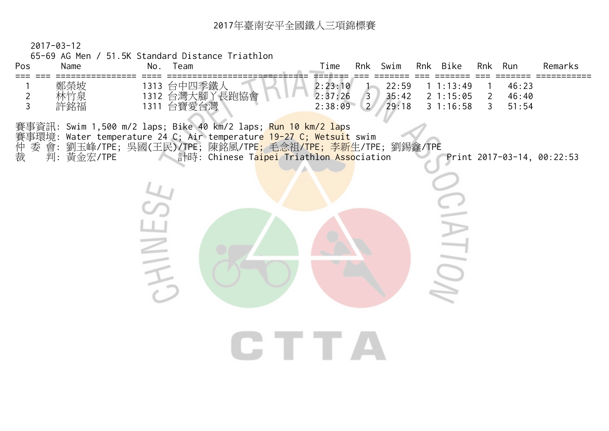2017-03-12

65-69 AG Men / 51.5K Standard Distance Triathlon

| Pos<br>$===$        | Name              | No. Team                                                                                                                                                                                                                                                                                     | Time<br>Rnk Swim<br>Rnk Bike<br>Remarks<br>Rnk<br>Run                                                                                                                               |
|---------------------|-------------------|----------------------------------------------------------------------------------------------------------------------------------------------------------------------------------------------------------------------------------------------------------------------------------------------|-------------------------------------------------------------------------------------------------------------------------------------------------------------------------------------|
| $\overline{2}$<br>3 | 鄭榮坡<br>林竹泉<br>許銘福 | 1313 台中四季鐵人<br>1312 台灣大腳丫長跑協會<br>1311 台寶愛台灣                                                                                                                                                                                                                                                  | 2:23:10<br>11:13:49<br>22:59<br>46:23<br>2:37:26<br>35:42<br>2 1:15:05<br>46:40<br>$\overline{2}$<br>$\overline{3}$<br>29:18<br>2:38:09<br>$\binom{2}{2}$<br>31:16:58<br>51:54<br>3 |
| 仲裁                  | 判:黃金宏/TPE         | 賽事資訊: Swim 1,500 m/2 laps; Bike 40 km/2 laps; <mark>Run 10 km/2 la</mark> ps<br>賽事環境: Water temperature 24 C; Air temperatur <mark>e 19-27 C; Wetsuit</mark> swim<br>委 會: 劉玉峰/TPE; 吳國(王民)/TPE; 陳銘風/TPE; 毛念祖/ <mark>TPE; 李新</mark> 生/TPE; 劉錫鑫/TPE<br>計時: Chinese Taipei Triathlon Association | Print 2017-03-14, 00:22:53                                                                                                                                                          |
|                     |                   |                                                                                                                                                                                                                                                                                              |                                                                                                                                                                                     |
|                     |                   |                                                                                                                                                                                                                                                                                              | IIO)                                                                                                                                                                                |
|                     |                   |                                                                                                                                                                                                                                                                                              | $\blacksquare$                                                                                                                                                                      |
|                     |                   |                                                                                                                                                                                                                                                                                              |                                                                                                                                                                                     |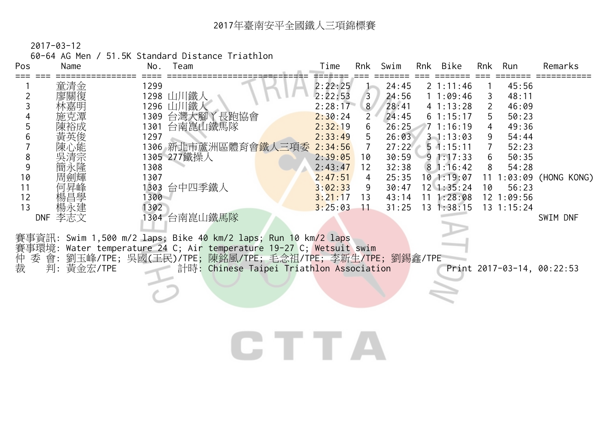60-64 AG Men / 51.5K Standard Distance Triathlon

| Pos | Name              | No.  | Team                                                                | Time    | Rnk            | Swim  | Rnk             | Bike              | Rnk           | Run            | Remarks                    |
|-----|-------------------|------|---------------------------------------------------------------------|---------|----------------|-------|-----------------|-------------------|---------------|----------------|----------------------------|
|     | 童清金               | 1299 |                                                                     | 2:22:25 |                | 24:45 |                 | $2 \t1:11:46$     |               | 45:56          |                            |
|     | 廖關復               |      | 1298 山川鐵人                                                           | 2:22:53 | $\overline{3}$ | 24:56 |                 | 11:09:46          |               | 48:11          |                            |
|     | 林嘉明               |      | 1296 山川鐵人                                                           | 2:28:17 | 8 <sup>1</sup> | 28:41 |                 | 41:13:28          | $\mathcal{P}$ | 46:09          |                            |
|     | 施克潭               | 1309 | 台灣大腳丫長跑協會                                                           | 2:30:24 | 2              | 24:45 |                 | 61:15:17          | 5             | 50:23          |                            |
|     | 陳裕成               | 1301 | 台南崑山鐵馬隊                                                             | 2:32:19 | 6              | 26:25 |                 | 71:16:19          |               | 49:36          |                            |
|     | 黃英俊               | 1297 |                                                                     | 2:33:49 | 5.             | 26:03 |                 | $3 - 1 : 13 : 03$ | 9             | 54:44          |                            |
|     | 陳心能               |      | 1306 新北市蘆洲區體育會 <mark>鐵人三項委</mark>                                   | 2:34:56 | 7              | 27:22 |                 | $5 \cdot 1:15:11$ |               | 52:23          |                            |
| 8   | 吳清宗               |      | 1305 277鐵操人                                                         | 2:39:05 | 10             | 30:59 |                 | 91:17:33          | 6             | 50:35          |                            |
|     | 簡永隆               | 1308 |                                                                     | 2:43:47 | 12             | 32:38 |                 | 81:16:42          | 8             | 54:28          |                            |
| 10  | 周劍輝               | 1307 |                                                                     | 2:47:51 | 4              | 25:35 |                 | 10 1:19:07        |               | :03:09         | (HONG KONG)                |
| 11  | 何昇峰               | 1303 | 台中四季鐵人                                                              | 3:02:33 | 9              | 30:47 |                 | $12 \; 1:35:24$   | 10            | 56:23          |                            |
| 12  | 楊昌學               | 1300 |                                                                     | 3:21:17 | 13             | 43:14 | 11              | 1:28:08           |               | $12 \t1:09:56$ |                            |
| 13  | 楊永建               | 1302 |                                                                     | 3:25:03 | 11             | 31:25 | 13 <sup>2</sup> | 1:38:15           |               | $13 \t1:15:24$ |                            |
|     | 李志文<br><b>DNF</b> |      | 1304 台南崑山鐵馬隊                                                        |         |                |       |                 |                   |               |                | SWIM DNF                   |
|     |                   |      |                                                                     |         |                |       |                 |                   |               |                |                            |
|     |                   |      | 賽事資訊: Swim 1,500 m/2 laps; Bike 40 km/2 laps; Run 10 km/2 laps      |         |                |       |                 |                   |               |                |                            |
|     |                   |      | 賽事環境: Water temperature 24 C; Air temperature 19-27 C; Wetsuit swim |         |                |       |                 |                   |               |                |                            |
| 仲   | 委 會:              |      | 劉玉峰/TPE; 吳國(王民)/TPE; 陳銘風/TPE; 毛念祖/TPE; 李新生/TPE; 劉錫鑫/TPE             |         |                |       |                 |                   |               |                |                            |
| 裁   | 判:<br>黃金宏/TPE     |      | 計時: Chinese Taipei Triathlon Association                            |         |                |       |                 |                   |               |                | Print 2017-03-14, 00:22:53 |

CTTA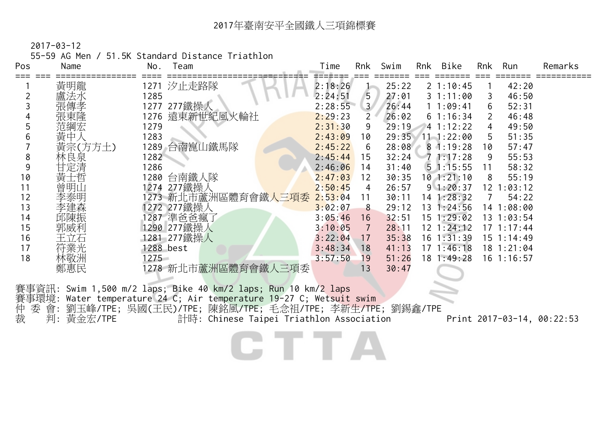55-59 AG Men / 51.5K Standard Distance Triathlon

| Pos | Name    | No.  | Team                | Time    | Rnk                   | Swim  | Rnk Bike          | Rnk | Run            | Remarks |
|-----|---------|------|---------------------|---------|-----------------------|-------|-------------------|-----|----------------|---------|
|     | 黃明龍     |      | 1271 汐止走路隊          | 2:18:26 |                       | 25:22 | 21:10:45          |     | 42:20          |         |
|     | 盧法水     | 1285 |                     | 2:24:51 | 5                     | 27:01 | 31:11:00          |     | 46:50          |         |
|     | 張傳孝     |      | 1277 277鐵操人         | 2:28:55 | 3 <sup>7</sup>        | 26:44 | 11:09:41          | 6   | 52:31          |         |
|     | 張東隆     |      | 1276 遠東新世紀風火輪社      | 2:29:23 | $\mathbf{2}^{\prime}$ | 26:02 | 61:16:34          | 2   | 46:48          |         |
|     | 范綱宏     | 1279 |                     | 2:31:30 | 9                     | 29:19 | 41:12:22          | 4   | 49:50          |         |
| h   | 黃中      | 1283 |                     | 2:43:09 | 10                    | 29:35 | 111:22:00         | 5   | 51:35          |         |
|     | 黃宗(方方土) | 1289 | 台南崑山鐵馬隊             | 2:45:22 | 6                     | 28:08 | $8 \cdot 1:19:28$ | 10  | 57:47          |         |
| 8   | 林良泉     | 1282 |                     | 2:45:44 | 15                    | 32:24 | 71:17:28          | 9   | 55:53          |         |
| 9   | 甘定清     | 1286 |                     | 2:46:06 | 14                    | 31:40 | 51:15:55          | 11  | 58:32          |         |
| 10  | 黃士哲     |      | 1280 台南鐵人隊          | 2:47:03 | 12                    | 30:35 | 101:21:10         | 8   | 55:19          |         |
|     | 曾明山     |      | 1274 277鐵操人         | 2:50:45 | 4                     | 26:57 | 91:20:37          | 12  | :03:12         |         |
| 12  | 李泰明     |      | 1273 新北市蘆洲區體育會鐵人三項委 | 2:53:04 | 11                    | 30:11 | 14 1:28:32        |     | 54:22          |         |
| 13  | 李建森     |      | 1272 277鐵操人         | 3:02:07 | 8                     | 29:12 | $13 \t1:24:56$    |     | 14 1:08:00     |         |
| 14  | 邱陳振     |      | 1287 準爸爸瘋了          | 3:05:46 | 16                    | 32:51 | $15 \t1:29:02$    |     | 13 1:03:54     |         |
| 15  | 郭威利     |      | 1290 277鐵操人         | 3:10:05 | 7                     | 28:11 | $12 \t1:24:12$    |     | $17 \t1:17:44$ |         |
| 16  | 王立石     | 1281 | 277鐵操人              | 3:22:04 | 17                    | 35:38 | $16 \t1:31:39$    |     | 15 1:14:49     |         |
| 17  | 符業光     |      | 1288 best           | 3:48:34 | 18                    | 41:13 | $17 \t1:46:18$    |     | $18 \t1:21:04$ |         |
| 18  | 林敬洲     | 1275 |                     | 3:57:50 | 19                    | 51:26 | $18 \t1:49:28$    |     | $16$ 1:16:57   |         |
|     | 鄭惠民     |      | 1278 新北市蘆洲區體育會鐵人三項委 |         | 13                    | 30:47 |                   |     |                |         |
|     |         |      |                     |         |                       |       |                   |     |                |         |

賽事資訊: Swim 1,500 m/2 laps; Bike 40 km/2 laps; Run 10 km/2 laps 賽事環境: Water temperature 24 C; Air temperature 19-27 C; Wetsuit swim 仲 委 .<br>- 委 會: 劉玉峰/TPE; 吳國(王民)/TPE; 陳銘風/TPE; 毛念祖/TPE; 李新生/TPE; 劉錫鑫/TPE<br>- 判: 黃金宏/TPE 計時: Chinese Taipei Triathlon Association 裁 判: 黃金宏/TPE<sup>rroc</sup> 计時: Chinese Taipei Triathlon Association Print 2017-03-14, 00:22:53

C T T A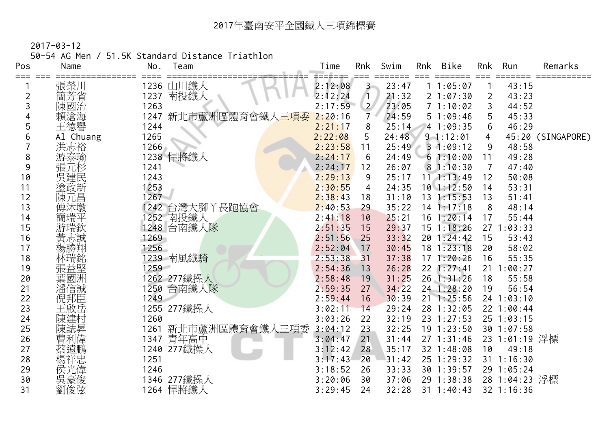2017-03-12

50-54 AG Men / 51.5K Standard Distance Triathlon

| Pos | Name      | No.  | Team                | Time    | Rnk            | Swim  | Rnk | Bike             | Rnk | Run            | Remarks           |
|-----|-----------|------|---------------------|---------|----------------|-------|-----|------------------|-----|----------------|-------------------|
| === |           |      |                     |         |                |       |     |                  |     |                |                   |
|     | 張榮川       |      | 1236 山川鐵人           | 2:12:08 | $3 -$          | 23:47 |     | 11:05:07         |     | 43:15          |                   |
| 2   | 簡芳省       | 1237 | 南投鐵人                | 2:12:24 | $\sqrt{1}$     | 21:32 |     | 21:07:30         | 2   | 43:23          |                   |
| 3   | 陳國治       | 1263 |                     | 2:17:59 | $\overline{2}$ | 23:05 |     | 71:10:02         | 3   | 44:52          |                   |
|     | 賴滄海       |      | 1247 新北市蘆洲區體育會鐵人三項委 | 2:20:16 | $\overline{7}$ | 24:59 |     | 51:09:46         | 5   | 45:33          |                   |
|     | 王德譽       | 1244 |                     | 2:21:17 | 8              | 25:14 |     | 4 1:09:35        | 6   | 46:29          |                   |
| 6   | Al Chuang | 1265 |                     | 2:22:08 | 5              | 24:48 |     | $9 - 1:12:01$    | 4   |                | 45:20 (SINGAPORE) |
|     | 洪志裕       | 1266 |                     | 2:23:58 | 11             | 25:49 |     | 31:09:12         | 9   | 48:58          |                   |
| 8   | 游泰瑜       |      | 1238 悍將鐵人           | 2:24:17 | 6              | 24:49 |     | 61:10:00         | 11  | 49:28          |                   |
| 9   | 張元杉       | 1241 |                     | 2:24:17 | 12             | 26:07 |     | 81:10:30         | 7   | 47:40          |                   |
| 10  | 吳建民       | 1243 |                     | 2:29:13 | 9              | 25:17 |     | $11$ , $1:13:49$ | 12  | 50:08          |                   |
| 11  | 塗政新       | 1253 |                     | 2:30:55 | 4              | 24:35 |     | $10$ 1:12:50     | 14  | 53:31          |                   |
| 12  | 陳元昌       | 1267 |                     | 2:38:43 | 18             | 31:10 |     | 13 1:15:53       | 13  | 51:41          |                   |
| 13  | 傅沐墩       |      | 1242 台灣大腳丫長跑協會      | 2:40:53 | 29             | 35:22 |     | $14$ 1:17:18     | 8   | 48:14          |                   |
| 14  | 簡瑞平       |      | 1252 南投鐵人           | 2:41:18 | 10             | 25:21 |     | $16$ 1:20:14     | 17  | 55:44          |                   |
| 15  | 游瑞欽       |      | 1248 台南鐵人隊          | 2:51:35 | 15             | 29:37 |     | $15$ 1:18:26     |     | 27 1:03:33     |                   |
| 16  | 黃志誠       | 1269 |                     | 2:51:56 | 25             | 33:32 |     | 201:24:42        | 15  | 53:43          |                   |
| 17  |           | 1256 |                     | 2:52:04 | 17             | 30:45 |     | $18$ 1:23:18     | 20  | 58:02          |                   |
| 18  |           |      | 1239 南風鐵騎           | 2:53:38 | 31             | 37:38 |     | $17 \t1:20:26$   | 16  | 55:35          |                   |
| 19  |           | 1259 |                     | 2:54:36 | 13             | 26:28 |     | 22 1:27:41       |     | 21 1:00:27     |                   |
| 20  |           |      | 1262 277鐵操人         | 2:58:48 | 19             | 31:25 |     | 26 1:31:26       | 18  | 55:58          |                   |
| 21  | 潘信誠       |      | 1250 台南鐵人隊          | 2:59:35 | 27             | 34:22 |     | 24 1:28:20       | 19  | 56:54          |                   |
| 22  | 倪邦臣       | 1249 |                     | 2:59:44 | 16             | 30:39 |     | $21 \t1:25:56$   |     | 24 1:03:10     |                   |
| 23  | 王啟岳       |      | 1255 277鐵操人         | 3:02:11 | 14             | 29:24 |     | 28 1:32:05       |     | 22 1:00:44     |                   |
| 24  | 陳建村       | 1260 |                     | 3:03:26 | 22             | 32:19 |     | 23 1:27:53       |     | $25 \t1:03:15$ |                   |
| 25  | 陳誌昇       | 1261 | 新北市蘆洲區體育會鐵人三項委      | 3:04:12 | 23             | 32:25 |     | $19$ 1:23:50     |     | 301:07:58      |                   |
| 26  | 曹利偉       |      | 1347 青年高中           | 3:04:47 | 21             | 31:44 |     | $27 \t1:31:46$   |     | 23 1:01:19 浮標  |                   |
| 27  |           |      | 1240 277鐵操人         | 3:12:42 | 28             | 35:17 |     | 32 1:48:08       | 10  | 49:18          |                   |
| 28  |           | 1251 |                     | 3:17:43 | 20             | 31:42 |     | 25 1:29:32       |     | 31 1:16:30     |                   |
| 29  | 侯光偉       | 1246 |                     | 3:18:52 | 26             | 33:33 |     | 30 1:39:57       |     | 29 1:05:24     |                   |
| 30  | 吳豪俊       |      | 1346 277鐵操人         | 3:20:06 | 30             | 37:06 |     | 29 1:38:38       |     | 28 1:04:23 浮標  |                   |
| 31  | 劉俊弦       |      | 1264 悍將鐵人           | 3:29:45 | 24             | 32:28 |     | $31 \t1:40:43$   |     | 32 1:16:36     |                   |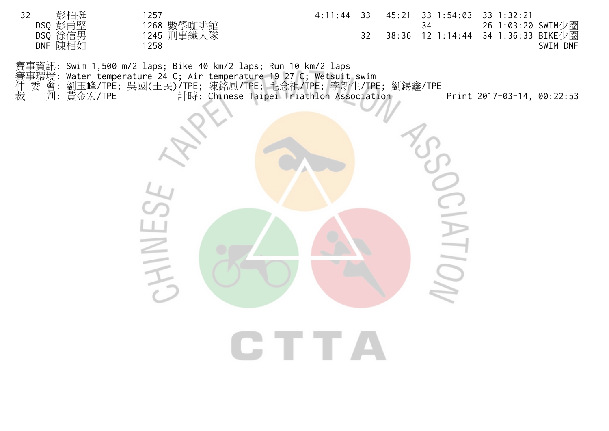32 彭柏挺 1257 4:11:44 33 45:21 33 1:54:03 33 1:32:21 DSQ 彭甫堅 1268 數學咖啡館 34 26 1:03:20 SWIM少圈<br>DSQ 徐信男 1245 刑事鐵人隊 32 38:36 12 1:14:44 34 1:36:33 BIKE少圈 DSQ 徐信男 1245 刑事鐵人隊 32 38:36 12 1:14:44 34 1:36:33 BIKE少圈 DNF 陳相如 1258 SWIM DNF 賽事資訊: Swim 1,500 m/2 laps; Bike 40 km/2 laps; Run 10 km/2 laps 賽事環境: Water temperature 24 C; Air temperature 19-27 C; Wetsuit swim 仲 委 會: 劉玉峰/TPE; 吳國(王民)/TPE; 陳銘風/TPE; 毛念祖/TPE; 李新生/TPE; 劉錫鑫/TPE 裁 判: 黃金宏/TPE 計時: Chinese Taipei Triathlon Association Print 2017-03-14, 00:22:53  $\sum_{i=1}^{n}$ HINES  $\equiv$ CTTA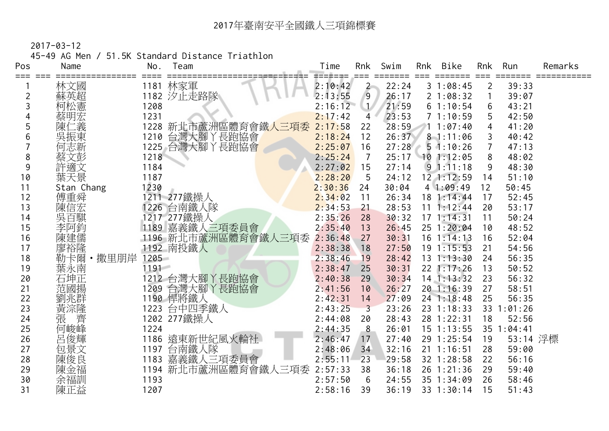45-49 AG Men / 51.5K Standard Distance Triathlon

| Pos     | Name        | No.      | Team                | Time               | Rnk                     | Swim  | Rnk | Bike           | Rnk            | Run        | Remarks |
|---------|-------------|----------|---------------------|--------------------|-------------------------|-------|-----|----------------|----------------|------------|---------|
| === === | 林文國         |          | 1181 林家軍            | =======<br>2:10:42 | $2 -$                   | 22:24 |     | 31:08:45       | $\overline{2}$ | 39:33      |         |
| 2       | 蘇英超         |          | 1182 汐止走路隊          | 2:13:55            | 9                       | 26:17 |     | 21:08:32       |                | 39:07      |         |
| 3       | 柯松憲         | 1208     |                     | 2:16:12            | $\cup$                  | 21:59 |     | 61:10:54       | 6              | 43:21      |         |
| 4       | 蔡明宏         | 1231     |                     | 2:17:42            | $\overline{4}$          | 23:53 |     | 71:10:59       | 5              | 42:50      |         |
| 5       | 二義<br>陳仁    |          | 1228 新北市蘆洲區體育會鐵人三項委 | 2:17:58            | 22                      | 28:59 |     | 11:07:40       | 4              | 41:20      |         |
| 6       | 吳振東         |          | 1210 台灣大腳丫長跑協會      | 2:18:24            | 12                      | 26:37 |     | $8 - 1:11:06$  | 3              | 40:42      |         |
|         | 何志新         |          | 1225 台灣大腳丫長跑協會      | 2:25:07            | 16                      | 27:28 |     | $5 \t1:10:26$  | $\overline{7}$ | 47:13      |         |
| 8       | 蔡文彭         | 1218     |                     | 2:25:24            | 7                       | 25:17 |     | $10$ 1:12:05   | 8              | 48:02      |         |
| 9       | 許適文         | 1184     |                     | 2:27:02            | 15                      | 27:14 |     | $9 \t1:11:18$  | 9              | 48:30      |         |
| 10      | 葉天景         | 1187     |                     | 2:28:20            | 5                       | 24:12 |     | 12 1:12:59     | 14             | 51:10      |         |
| 11      | Stan Chang  | 1230     |                     | 2:30:36            | 24                      | 30:04 |     | 41:09:49       | 12             | 50:45      |         |
| 12      | 傅重舜         |          | 1211 277鐵操人         | 2:34:02            | 11                      | 26:34 |     | 18 1:14:44     | 17             | 52:45      |         |
| 13      | 陳信宏         |          | 1226 台南鐵人隊          | 2:34:53            | 21                      | 28:53 |     | $11 \t1:12:44$ | 20             | 53:17      |         |
| 14      | 吳百騏         |          | 1217 277鐵操人         | 2:35:26            | 28                      | 30:32 |     | 171:14:31      | 11             | 50:24      |         |
| 15      | 李阿鈞         |          | 1189 嘉義鐵人三項委員會      | 2:35:40            | 13                      | 26:45 |     | 25 1:20:04     | 10             | 48:52      |         |
| 16      | 陳建儒         |          | 1196 新北市蘆洲區體育會鐵人三項委 | 2:36:48            | 27                      | 30:31 |     | $16$ 1:14:13   | 16             | 52:04      |         |
| 17      | 廖裕隆         |          | 1192 南投鐵人           | 2:38:38            | 18                      | 27:50 |     | $19 \t1:15:53$ | 21             | 54:56      |         |
| 18      | 勒卡爾·撒里朋岸    | 1205     |                     | 2:38:46            | 19                      | 28:42 |     | $13 \t1:13:30$ | 24             | 56:35      |         |
| 19      | 葉永南         | $1191 -$ |                     | 2:38:47            | 25                      | 30:31 |     | $22$ 1:17:26   | 13             | 50:52      |         |
| 20      | 石坤正         |          | 1212 台灣大腳丫長跑協會      | 2:40:38            | 29                      | 30:34 |     | $14$ 1:13:32   | 23             | 56:32      |         |
| 21      | 范國揚         |          | 1209 台灣大腳丫長跑協會      | 2:41:56            | 10                      | 26:27 |     | 20 1:16:39     | 27             | 58:51      |         |
| 22      | ·劉兆群<br>黄淙隆 |          | 1190 悍將鐵人           | 2:42:31            | 14                      | 27:09 |     | $24$ 1:18:48   | 25             | 56:35      |         |
| 23      |             |          | 1223 台中四季鐵人         | 2:43:25            | $\overline{\mathbf{3}}$ | 23:26 |     | 23 1:18:33     |                | 33 1:01:26 |         |
| 24      | 張<br>齊      |          | 1202 277鐵操人         | 2:44:08            | 20                      | 28:43 |     | 28 1:22:31     | 18             | 52:56      |         |
| 25      | 何峻峰         | 1224     |                     | 2:44:35            | 8                       | 26:01 |     | $15$ 1:13:55   | 35             | 1:04:41    |         |
| 26      | 呂俊輝         |          | 1186 遠東新世紀風火輪社      | 2:46:47            | 17                      | 27:40 |     | 29 1:25:54     | 19             | 53:14 浮標   |         |
| 27      | 包景文         |          | 1197 台南鐵人隊          | 2:48:06            | 34                      | 32:16 |     | $21 \t1:16:51$ | 28             | 59:00      |         |
| 28      | 陳俊良         |          | 1183 嘉義鐵人三項委員會      | 2:55:11            | 23                      | 29:58 |     | 32 1:28:58     | 22             | 56:16      |         |
| 29      | 陳金福         |          | 1194 新北市蘆洲區體育會鐵人三項委 | 2:57:33            | 38                      | 36:18 |     | 26 1:21:36     | 29             | 59:40      |         |
| 30      | 余福訓         | 1193     |                     | 2:57:50            | 6                       | 24:55 |     | 35 1:34:09     | 26             | 58:46      |         |
| 31      | 陳正益         | 1207     |                     | 2:58:16            | 39                      | 36:19 |     | 33 1:30:14     | 15             | 51:43      |         |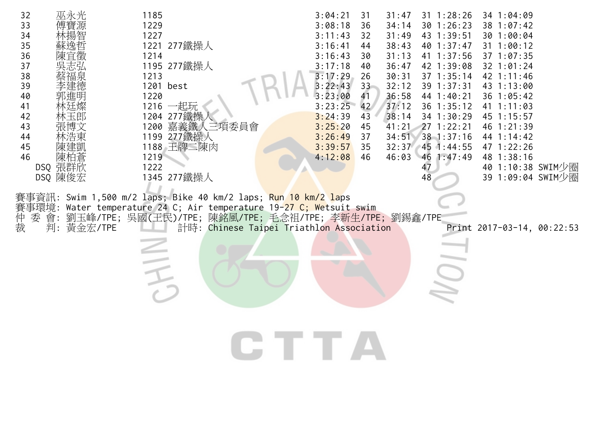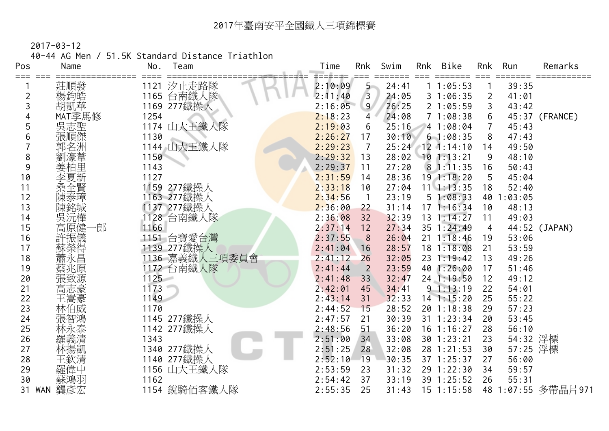2017-03-12

40-44 AG Men / 51.5K Standard Distance Triathlon

| Pos            | Name       | Team<br>No.                   | Time               | Rnk            | Swim           | Rnk | Bike                     | Rnk            | Run            | Remarks            |
|----------------|------------|-------------------------------|--------------------|----------------|----------------|-----|--------------------------|----------------|----------------|--------------------|
| $===$          | 莊順發        | 1121 汐止走路隊                    | 2:10:09            | $5 -$          | 24:41          |     | 11:05:53                 |                | 39:35          |                    |
| $\overline{2}$ | 楊鈞皓        | 台南鐵人隊<br>1165                 | 2:11:40            | $\overline{3}$ | 24:05          |     | 31:06:35                 | $\overline{2}$ | 41:01          |                    |
| 3              | 胡凱華        | 1169 277鐵操人                   | 2:16:05            | 9 <sup>°</sup> | 26:25          |     | 21:05:59                 | 3              | 43:42          |                    |
|                | MAT季馬修     | 1254                          | 2:18:23            | 4              | 24:08          |     | 71:08:38                 | 6              |                | 45:37 (FRANCE)     |
|                |            | 1174 山大王鐵人隊                   | 2:19:03            | 6              | 25:16          |     | 4 1:08:04                | $\overline{7}$ | 45:43          |                    |
| 6              | 吳志聖<br>張順傑 | 1130                          | 2:26:27            | 17             | 30:10          |     | 61:08:35                 | 8              | 47:43          |                    |
|                | 郭名洲        | 1144 山大王鐵人隊                   | 2:29:23            | $\overline{7}$ |                |     | 25:24 12 1:14:10         | 14             | 49:50          |                    |
| 8              |            | 1150                          | 2:29:32            | 13             | 28:02          |     | $10$ 1:13:21             | 9              | 48:10          |                    |
| 9              | 姜柏里        | 1143                          | 2:29:37            | 11             | 27:20          |     | 81:11:35                 | 16             | 50:43          |                    |
| 10             | 李夏新        | 1127                          | 2:31:59            | 14             | 28:36          |     | $19$ 1:18:20             | 5              | 45:04          |                    |
| 11             |            | 1159 277鐵操人                   | 2:33:18            | 10             | 27:04          |     | $11 \quad 1:13:35$       | 18             | 52:40          |                    |
| 12             |            | 1163 277鐵操人                   | 2:34:56            |                | 23:19          |     | 51:08:33                 | 40             | 1:03:05        |                    |
| 13             | 陳銘城        | 1137 277鐵操人                   | 2:36:00            | 22             | 31:14          |     | 171:16:34                | 10             | 48:13          |                    |
| 14             | 吳沅樺        | 1128 台南鐵人隊                    | 2:36:08            | 32             | 32:39          |     | $13 \t1:14:27$           | 11             | 49:03          |                    |
| 15             | 高原健-<br>−剆 | 1166                          | 2:37:14            | 12             | 27:34          |     | 35 1:24:49               | 4              |                | 44:52 (JAPAN)      |
| 16             | 許振儀        | 1151 台寶愛台灣                    | 2:37:55            | 8              | 26:04          |     | $21 \t1:18:46$           | 19             | 53:06          |                    |
| 17             | 蘇榮得        | 1139 277鐵操人<br>1136 嘉義鐵人三項委員會 | 2:41:04            | 16             | 28:57          |     | $18$ 1:18:08             | 21             | 53:59          |                    |
| 18             | 蕭永昌        |                               | 2:41:12            | 26             | 32:05          |     | 23 1:19:42               | 13             | 49:26          |                    |
| 19             |            | 1172 台南鐵人隊                    | 2:41:44            | $\overline{2}$ | 23:59          |     | 40 1:26:00               | 17             | 51:46          |                    |
| 20             |            | $1125 -$                      | 2:41:48            | 33             | 32:47          |     | 24 1:19:50               | 12             | 49:12          |                    |
| 21             | 高志豪        | 1173                          | 2:42:01            | 45             | 34:41          |     | 91:13:19                 | 22             | 54:01          |                    |
| 22             | 王嵩豪        | 1149                          | 2:43:14            | 31             | 32:33          |     | $14$ 1:15:20             | 25             | 55:22          |                    |
| 23             | 林伯威        | 1170                          | 2:44:52            | 15             | 28:52          |     | 20 1:18:38               | 29             | 57:23          |                    |
| 24             | 張智鴻        | 1145 277鐵操人                   | 2:47:57            | 21             | 30:39          |     | $31 \t1:23:34$           | 20             | 53:45          |                    |
| 25             | 林永泰        | 1142 277鐵操人                   | 2:48:56            | 51             | 36:20          |     | $16$ 1:16:27             | 28             | 56:10          |                    |
| 26             | 羅義清        | 1343                          | 2:51:00            | 34             | 33:08          |     | 30 1:23:21               | 23             | 54:32 浮標       |                    |
| 27             | 林揚凱        | 1340 277鐵操人                   | 2:51:25            | 28             | 32:08          |     | 28 1:21:53               | 30             | 57:25 浮標       |                    |
| 28<br>29       | 王欽清<br>羅偉中 | 1140 277鐵操人                   | 2:52:10<br>2:53:59 | 19<br>23       | 30:35<br>31:32 |     | 37 1:25:37<br>29 1:22:30 | 27<br>34       | 56:00<br>59:57 |                    |
| 30             |            | 1156 山大王鐵人隊<br>1162           | 2:54:42            | 37             | 33:19          |     | 39 1:25:52               | 26             | 55:31          |                    |
| 31 WAN         | 蘇鴻羽<br>龔彥宏 | 1154 銳騎佰客鐵人隊                  | 2:55:35            | 25             | 31:43          |     | $15$ 1:15:58             |                |                | 48 1:07:55 多帶晶片971 |
|                |            |                               |                    |                |                |     |                          |                |                |                    |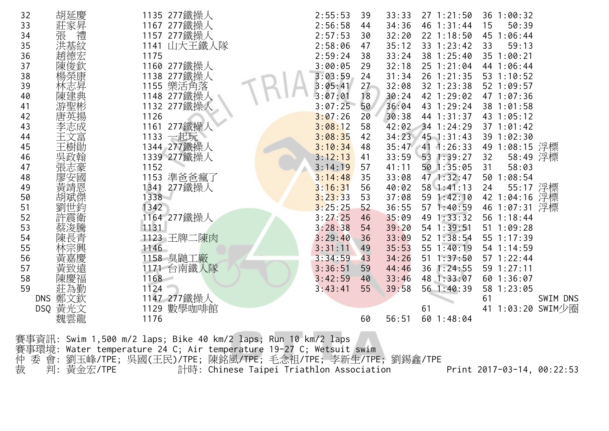賽事資訊: Swim 1,500 m/2 laps; Bike 40 km/2 laps; Run 10 km/2 laps 賽事環境: Water temperature 24 C; Air temperature 19-27 C; Wetsuit swim 仲 委 會: 劉玉峰/TPE; 吳國(王民)/TPE; 陳銘風/TPE; 毛念祖/TPE; 李新生/TPE; 劉錫鑫/TPE 裁 判: 黃金宏/TPE 計時: Chinese Taipei Triathlon Association Print 2017-03-14, 00:22:53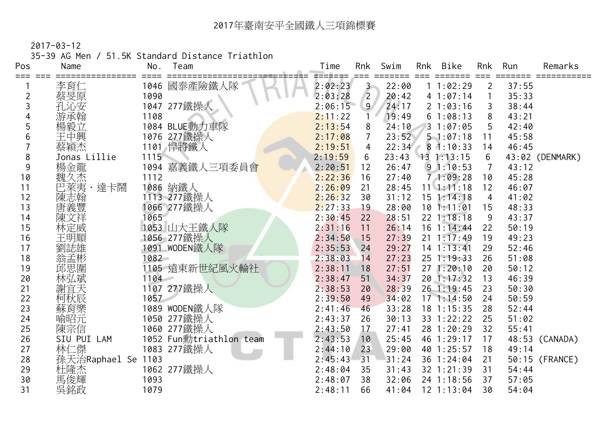2017-03-12

35-39 AG Men / 51.5K Standard Distance Triathlon

| Pos | Name          | No.  | Team                    | Time              | Rnk            | Swim  | Rnk | Bike           | Rnk            | Run   | Remarks         |
|-----|---------------|------|-------------------------|-------------------|----------------|-------|-----|----------------|----------------|-------|-----------------|
| ≔≕≕ | 李育仁           |      | 1046 國泰產險鐵人隊            | ======<br>2:02:23 | $3 -$          | 22:00 |     | 11:02:29       | $\overline{2}$ | 37:55 |                 |
| 2   | 蔡旻原           | 1090 |                         | 2:03:28           | $\overline{2}$ | 20:42 |     | 41:07:14       |                | 35:33 |                 |
| 3   | 孔沁安           |      | 1047 277鐵操人             | 2:06:15           | 9 <sup>°</sup> | 24:17 |     | 21:03:16       | 3              | 38:44 |                 |
| 4   | 游承翰           | 1108 |                         | 2:11:22           |                | 19:49 |     | 61:08:13       | 8              | 43:21 |                 |
| 5   | 楊毅立           |      | 1084 BLUE動力車隊           | 2:13:54           | 8              | 24:10 |     | 31:07:05       |                | 42:40 |                 |
| 6   | 王中興           |      | 1076 277鐵操人             | 2:17:08           | $\overline{7}$ | 23:52 |     | 51:07:18       | 11             | 45:58 |                 |
|     | 蔡穎杰           |      | 1101 悍將鐵人               | 2:19:51           | $\overline{4}$ | 22:34 |     | 81:10:33       | 14             | 46:45 |                 |
| 8   | Jonas Lillie  | 1115 |                         | 2:19:59           | 6              | 23:43 |     | $13 \t1:13:15$ | 6              |       | 43:02 (DENMARK) |
| 9   | 楊金龍           |      | 1094 嘉義鐵人三項委員會          | 2:20:51           | 12             | 26:47 |     | 91:10:53       | 7              | 43:12 |                 |
| 10  | 魏久杰           | 1112 |                         | 2:22:36           | 16             | 27:40 |     | 71:09:28       | 10             | 45:28 |                 |
| 11  | 達卡鬧<br>巴萊夷    |      | 1086 納鐵人                | 2:26:09           | 21             | 28:45 |     | $11 \t1:11:18$ | 12             | 46:07 |                 |
| 12  | 陳志翰           |      | 1113 277鐵操人             | 2:26:32           | 30             | 31:12 |     | $15$ $1:14:18$ | 4              | 41:02 |                 |
| 13  | 唐義豐           |      | 1066 277鐵操人             | 2:27:33           | 19             | 28:00 |     | 101:11:01      | 15             | 48:33 |                 |
| 14  | 陳文祥           | 1065 |                         | 2:30:45           | 22             | 28:51 |     | 22 1:18:18     | 9              | 43:37 |                 |
| 15  | 林定威           |      | 1053 山大王鐵人隊             | 2:31:16           | 11             | 26:14 |     | $16$ 1:14:44   | 22             | 50:19 |                 |
| 16  | 王明順           |      | 1056 277鐵操人             | 2:34:50           | 15             | 27:39 |     | $21 \t1:17:49$ | 19             | 49:23 |                 |
| 17  | 劉誌雄           |      | 1091 WODEN鐵人隊           | 2:35:53           | 24             | 29:27 |     | $14$ 1:13:41   | 29             | 52:46 |                 |
| 18  | 翁孟彬           | 1082 |                         | 2:38:03           | 14             | 27:23 |     | 25 1:19:33     | 26             | 51:08 |                 |
| 19  | 邱思圍           |      | 1105 遠東新世紀風火輪社          | 2:38:11           | 18             | 27:51 |     | 271:20:10      | 20             | 50:12 |                 |
| 20  | 林弘斌           | 1104 |                         | 2:38:47           | 51             | 34:37 |     | 20 1:17:32     | 13             | 46:39 |                 |
| 21  | 謝宜天           |      | 1107 277鐵操人             | 2:38:53           | 20             | 28:39 |     | 26 1:19:45     | 23             | 50:30 |                 |
| 22  | 柯秋辰           | 1057 |                         | 2:39:50           | 49             | 34:02 |     | 171:14:50      | 24             | 50:59 |                 |
| 23  | 蘇育樂           |      | 1089 WODEN鐵人隊           | 2:41:46           | 46             | 33:28 |     | 18 1:15:35     | 28             | 52:44 |                 |
| 24  | 喻昭元           |      | 1050 277鐵操人             | 2:43:37           | 26             | 30:13 |     | 33 1:22:22     | 25             | 51:02 |                 |
| 25  | 陳宗信           |      | 1060 277鐵操人             | 2:43:50           | 17             | 27:41 |     | 28 1:20:29     | 32             | 55:41 |                 |
| 26  | SIU PUI LAM   |      | 1052 Fun勳triathlon team | 2:43:53           | 10             | 25:45 |     | 46 1:29:17     | 17             |       | 48:53 (CANADA)  |
| 27  | 林仁傑           |      | 1083 277鐵操人             | 2:44:10           | 23             | 29:00 |     | 40 1:25:57     | 18             | 49:14 |                 |
| 28  | 孫天治Raphael Se | 1103 |                         | 2:45:43           | 31             | 31:24 |     | 36 1:24:04     | 21             |       | 50:15 (FRANCE)  |
| 29  | 杜隆杰<br>馬俊輝    |      | 1062 277鐵操人             | 2:48:04           | 35             | 31:43 |     | 32 1:21:39     | 31             | 54:44 |                 |
| 30  |               | 1093 |                         | 2:48:07           | 38             | 32:06 |     | 24 1:18:56     | 37             | 57:05 |                 |
| 31  | 吳銘政           | 1079 |                         | 2:48:11           | 66             | 41:04 |     | $12$ 1:13:04   | 30             | 54:04 |                 |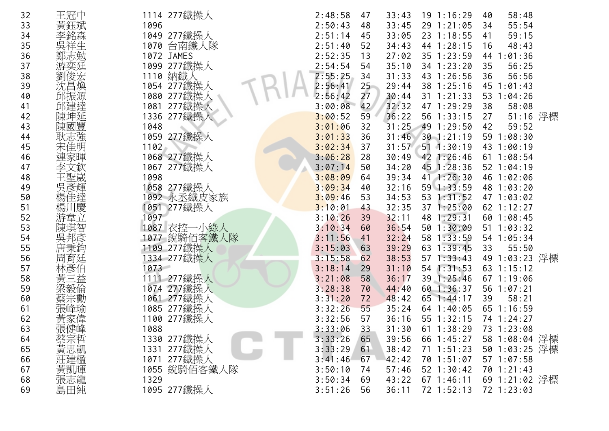| 32 | 王冠中      | 1114 277鐵操人  | 2:48:58 | 47              | 33:43 | $19$ 1:16:29     | 58:48<br>40      |
|----|----------|--------------|---------|-----------------|-------|------------------|------------------|
| 33 | 黃鈺斌      | 1096         | 2:50:43 | 48              | 33:45 | 29 1:21:05       | 55:54<br>34      |
| 34 | 李銘森      | 1049 277鐵操人  | 2:51:14 | 45              | 33:05 | 23 1:18:55       | 59:15<br>41      |
| 35 |          | 1070 台南鐵人隊   | 2:51:40 | 52              | 34:43 | 44 1:28:15       | 48:43<br>16      |
| 36 | 鄭志勉      | 1072 JAMES   | 2:52:35 | 13              | 27:02 | 35 1:23:59       | 44 1:01:36       |
| 37 | 游奕廷      | 1099 277鐵操人  | 2:54:54 | 54              | 35:10 | 34 1:23:20       | 35<br>56:25      |
| 38 | 俊宏       | 1110 納鐵人     | 2:55:25 | 34              | 31:33 | 43 1:26:56       | 36<br>56:56      |
| 39 | 沈昌煥      | 1054 277鐵操人  | 2:56:41 | 25              | 29:44 | 38 1:25:16       | 45 1:01:43       |
| 40 | 邱振源      | 1080 277鐵操人  | 2:56:42 | 27              | 30:44 | $31$ 1:21:33     | 53 1:04:26       |
| 41 | 邱建達      | 1081 277鐵操人  | 3:00:08 | 42              | 32:32 | 47 1:29:29       | 38<br>58:08      |
| 42 | 陳坤延      | 1336 277鐵操人  | 3:00:52 | 59              | 36:22 | 56 1:33:15       | $51:16$ 浮標<br>27 |
| 43 | 陳國豐      | 1048         | 3:01:06 | 32              | 31:25 | 49 1:29:50       | 59:52<br>42      |
| 44 | 耿志強      | 1059 277鐵操人  | 3:01:33 | 36              | 31:46 | $30$ 1:21:19     | 59 1:08:30       |
| 45 | 宋佳明      | 1102         | 3:02:34 | 37              |       | 31:57 51 1:30:19 | 43 1:00:19       |
| 46 | 連家暉      | 1068 277鐵操人  | 3:06:28 | 28              | 30:49 | 42 1:26:46       | 611:08:54        |
| 47 | 文欽       | 1067 277鐵操人  | 3:07:14 | 50              | 34:20 | 45 1:28:36       | 52 1:04:19       |
| 48 | 王聖崴      | 1098         | 3:08:09 | 64              | 39:34 | 41 1:26:30       | 46 1:02:06       |
| 49 | 吳彥輝      | 1058 277鐵操人  | 3:09:34 | 40              | 32:16 | 59 1:33:59       | 48 1:03:20       |
| 50 | 佳達       | 1092 永丞鐵皮家族  | 3:09:46 | 53              | 34:53 | 53 1:31:52       | 47 1:03:02       |
| 51 | 楊川<br> 慶 | 1051 277鐵操人  | 3:10:01 | 43              | 32:35 | 371:25:00        | 62 1:12:27       |
| 52 | 游韋立      | 1097         | 3:10:26 | 39              | 32:11 | 48 1:29:31       | 60 1:08:45       |
| 53 | 陳琪智      | 1087 衣控一小綠人  | 3:10:34 | 60              | 36:54 | 50 1:30:09       | 51 1:03:32       |
| 54 | 吳邦彥      | 1077 銳騎佰客鐵人隊 | 3:11:56 | 41              | 32:24 | 58 1:33:59       | 54 1:05:34       |
| 55 | 唐秉鈞      | 1109 277鐵操人  | 3:15:03 | 63              | 39:29 | 63 1:39:45       | 55:50<br>33      |
| 56 | 周育廷      | 1334 277鐵操人  | 3:15:58 | 62              | 38:53 | $57 \; 1:33:43$  | 49 1:03:23 浮標    |
| 57 | 林彥伯      | 1073         | 3:18:14 | 29              | 31:10 | 54 1:31:53       | 63 1:15:12       |
| 58 | 黃<br>三益  | 1111 277鐵操人  | 3:21:08 | 58              | 36:17 | 39 1:25:46       | 67 1:19:06       |
| 59 |          | 1074 277鐵操人  | 3:28:38 | 70              | 44:40 | 60 1:36:37       | 56 1:07:21       |
| 60 | 蔡宗勳      | 1061 277鐵操人  | 3:31:20 | 72              | 48:42 | $65$ 1:44:17     | 58:21<br>39      |
| 61 | 張峰瑜      | 1085 277鐵操人  | 3:32:26 | 55 <sub>5</sub> | 35:24 | 64 1:40:05       | 65 1:16:59       |
| 62 | 黃家偉      | 1100 277鐵操人  | 3:32:56 | 57              | 36:16 | 55 1:32:15       | 74 1:24:27       |
| 63 | 張健峰      | 1088         | 3:33:06 | 33              | 31:30 | $61 \t1:38:29$   | 73 1:23:08       |
| 64 | 蔡宗哲      | 1330 277鐵操人  | 3:33:26 | 65              | 39:56 | 66 1:45:27       | 58 1:08:04 浮標    |
| 65 |          | 1331 277鐵操人  | 3:33:29 | 61              | 38:42 | $71 \t1:51:23$   | 50 1:03:25 浮標    |
| 66 | 黃思凱      | 1071 277鐵操人  | 3:41:46 | 67              | 42:42 | 70 1:51:07       | $57 \t1:07:58$   |
| 67 |          | 1055 銳騎佰客鐵人隊 | 3:50:10 | 74              | 57:46 | $52$ 1:30:42     | 70 1:21:43       |
| 68 | 黃凱暉龍     | 1329         | 3:50:34 | 69              | 43:22 | 67 1:46:11       | 69 1:21:02 浮標    |
| 69 | 島田純      | 1095 277鐵操人  | 3:51:26 | 56              | 36:11 | 72 1:52:13       | 72 1:23:03       |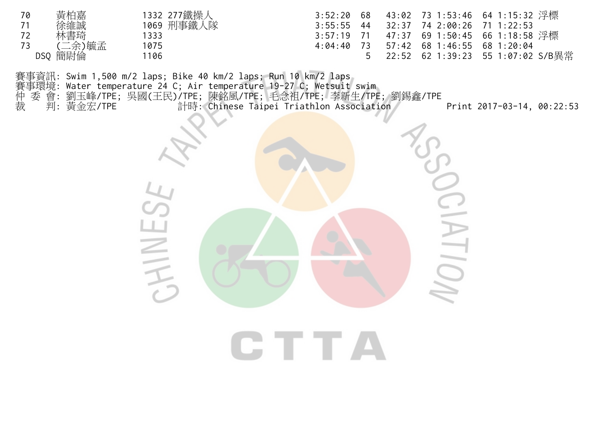| 70 | 黃柏嘉     | 1332 277鐵操人 |  |                                          |  |
|----|---------|-------------|--|------------------------------------------|--|
| 71 | 徐維誠     | 1069 刑事鐵人隊  |  | $3:55:55$ 44 32:37 74 2:00:26 71 1:22:53 |  |
| 72 | 林書琦     | 1333        |  |                                          |  |
| 73 | (二余)毓孟  | 1075        |  | 4:04:40 73 57:42 68 1:46:55 68 1:20:04   |  |
|    | DSQ 簡尉倫 | 1106        |  | _5  22:52 62 1:39:23 55 1:07:02 S/B異常    |  |

賽事資訊: Swim 1,500 m/2 laps; Bike 40 km/2 laps; Run 10 km/2 laps<br>賽事環境: Water temperature 24 C; Air temperature 19-27 C; Wetsuit<br>仲 委 會: 劉玉峰/TPE; 吳國(王民)/TPE; 陳銘風/TPE; 毛念祖/TPE; 李新<br>裁 判: 黃金宏/TPE 計時: Chinese Taipei Triathlo 賽事環境: Water temperature 24 C; Air temperature 19-27 C; Wetsuit swim 仲 委 會: 劉玉峰/TPE; 吳國(王民)/TPE; 陳銘風/TPE; 毛念祖/TPE; 李新生/TPE; 劉錫鑫/TPE 裁 判: 黃金宏/TPE 計時: Chinese Taipei Triathlon Association Print 2017-03-14, 00:22:53

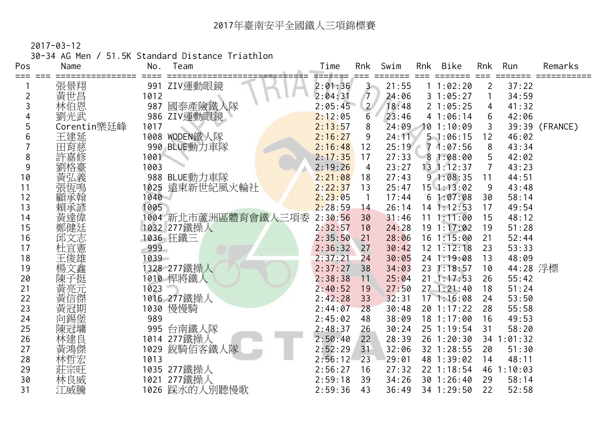2017-03-12

30-34 AG Men / 51.5K Standard Distance Triathlon

| Pos            | Name        | No.  | Team                | Time    | Rnk                   | Swim  | Rnk | Bike           | Rnk            | Run        | Remarks        |
|----------------|-------------|------|---------------------|---------|-----------------------|-------|-----|----------------|----------------|------------|----------------|
| === ===        | 張景翔         |      | 991 ZIV運動眼鏡         | 2:01:36 | $3 -$                 | 21:55 |     | 11:02:20       | $\overline{2}$ | 37:22      |                |
| $\overline{c}$ | 黃世昌         | 1012 |                     | 2:04:31 | $\overline{7}$        | 24:06 |     | 31:05:27       |                | 34:59      |                |
| 3              | 林伯恩         | 987  | 國泰產險鐵人隊             | 2:05:45 | $\mathbf{2}^{\prime}$ | 18:48 |     | 21:05:25       | 4              | 41:32      |                |
| 4              | 劉光武         |      | 986 ZIV運動眼鏡         | 2:12:05 | 6                     | 23:46 |     | 41:06:14       | 6              | 42:06      |                |
| 5              | Corentin樂廷峰 | 1017 |                     | 2:13:57 | 8                     | 24:09 |     | 101:10:09      |                |            | 39:39 (FRANCE) |
| 6              | 王建延<br>田育慈  |      | 1008 WODEN鐵人隊       | 2:16:27 | 9                     | 24:11 |     | 51:06:15       | 12             | 46:02      |                |
|                |             |      | 990 BLUE動力車隊        | 2:16:48 | 12                    | 25:19 |     | 71:07:56       | 8              | 43:34      |                |
| 8              | 許嘉修         | 1001 |                     | 2:17:35 | 17                    | 27:33 |     | 81:08:00       | 5              | 42:02      |                |
| 9              |             | 1003 |                     | 2:19:26 | $\overline{4}$        | 23:27 |     | $13 \t1:12:37$ |                | 43:23      |                |
| 10             | 劉格臺義        |      | 988 BLUE動力車隊        | 2:21:08 | 18                    | 27:43 |     | 91:08:35       | 11             | 44:51      |                |
| 11             | 張恆鳴         | 1025 | 遠東新世紀風火輪社           | 2:22:37 | 13                    | 25:47 |     | $15$ 1:13:02   | 9              | 43:48      |                |
| 12             | 顧承翰         | 1040 |                     | 2:23:05 | $\mathbf{1}$          | 17:44 |     | 61:07:08       | 30             | 58:14      |                |
| 13             | 賴承諺         | 1005 |                     | 2:28:59 | 14                    | 26:14 |     | $14$ 1:12:53   | 17             | 49:54      |                |
| 14             | 黃達偉         |      | 1004 新北市蘆洲區體育會鐵人三項委 | 2:30:56 | 30                    | 31:46 |     | 11 1:11:00     | 15             | 48:12      |                |
| 15             | 鄭健廷         |      | 1032 277鐵操人         | 2:32:57 | 10                    | 24:28 |     | 191:17:02      | 19             | 51:28      |                |
| 16             | 邱文志         |      | 1036 狂鐵三            | 2:35:50 | 21                    | 28:06 |     | $16$ 1:15:00   | 21             | 52:44      |                |
| 17             | 杜宜憲         | 999  |                     | 2:36:32 | 27                    | 30:42 |     | $12 \t1:12:18$ | 23             | 53:33      |                |
| 18             | 王俊雄         | 1039 |                     | 2:37:21 | 24                    | 30:05 |     | 24 1:19:08     | 13             | 48:09      |                |
| 19             | 楊文鑫         |      | 1328 277鐵操人         | 2:37:27 | 38                    | 34:03 |     | 23 1:18:57     | 10             | 44:28 浮標   |                |
| 20             |             |      | 1010 悍將鐵人           | 2:38:38 | 11                    | 25:04 | 21  | 1:17:53        | 26             | 55:42      |                |
| 21             | 黃亮元         | 1023 |                     | 2:40:52 | 19                    | 27:50 |     | 271:21:40      | 18             | 51:24      |                |
| 22             | 黃信傑         |      | 1016 277鐵操人         | 2:42:28 | 33                    | 32:31 |     | 171:16:08      | 24             | 53:50      |                |
| 23             |             |      | 1030 慢慢騎            | 2:44:07 | 28                    | 30:48 |     | 20 1:17:22     | 28             | 55:58      |                |
| 24             | 向錫堡         | 989  |                     | 2:45:02 | 48                    | 38:09 |     | 18 1:17:00     | 16             | 49:53      |                |
| 25             | 陳冠墉         | 995  | 台南鐵人隊               | 2:48:37 | 26                    | 30:24 |     | 25 1:19:54     | 31             | 58:20      |                |
| 26             | 林建良         | 1014 | 277鐵操人              | 2:50:40 | 22                    | 28:39 |     | 26 1:20:30     |                | 34 1:01:32 |                |
| 27             | 黃鴻傑         | 1029 | 銳騎佰客鐵人隊             | 2:52:29 | 31                    | 32:06 |     | 32 1:28:55     | 20             | 51:30      |                |
| 28             | 林哲宏         | 1013 |                     | 2:56:12 | 23                    | 29:01 |     | 48 1:39:02     | 14             | 48:11      |                |
| 29             | 莊宗旺         |      | 1035 277鐵操人         | 2:56:27 | 16                    | 27:32 |     | 22 1:18:54     | 46             | 1:10:03    |                |
| 30             | 林良威         | 1021 | 277鐵操人              | 2:59:18 | 39                    | 34:26 |     | 30 1:26:40     | 29             | 58:14      |                |
| 31             | 江威騰         |      | 1026 踩水的人別聽慢歌       | 2:59:36 | 43                    | 36:49 |     | 34 1:29:50     | 22             | 52:58      |                |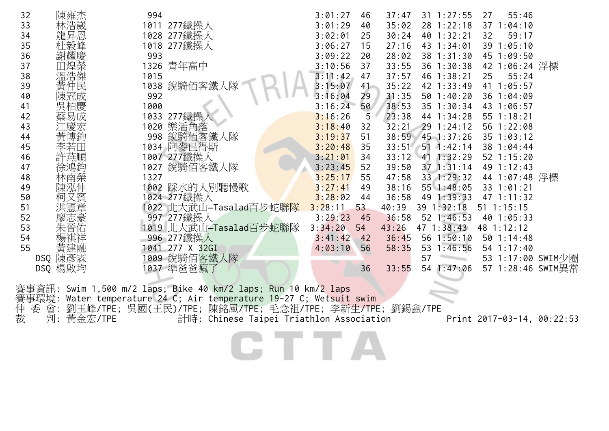| 32 |     | 陳雍杰 | 994  |                        | 3:01:27 | 46     | 37:47 | $31 \t1:27:55$     | 27 | 55:46          |                   |
|----|-----|-----|------|------------------------|---------|--------|-------|--------------------|----|----------------|-------------------|
| 33 |     | 林浩崴 | 1011 | 277鐵操人                 | 3:01:29 | 40     | 35:02 | 28 1:22:18         |    | 37 1:04:10     |                   |
| 34 |     | 龍昇恩 |      | 1028 277鐵操人            | 3:02:01 | 25     | 30:24 | 40 1:32:21         | 32 | 59:17          |                   |
| 35 |     | 杜毅峰 |      | 1018 277鐵操人            | 3:06:27 | 15     | 27:16 | 43 1:34:01         |    | 39 1:05:10     |                   |
| 36 |     | 謝耀慶 | 993  |                        | 3:09:22 | 20     | 28:02 | 38 1:31:30         |    | 45 1:09:50     |                   |
| 37 |     | 田煌榮 |      | 1326 青年高中              | 3:10:56 | 37     | 33:55 | 36 1:30:38         |    | 42 1:06:24 浮標  |                   |
| 38 |     | 溫浩傑 | 1015 |                        | 3:11:42 | 47     | 37:57 | 46 1:38:21         | 25 | 55:24          |                   |
| 39 |     | 黃仲民 | 1038 | 銳騎佰客鐵丿                 | 3:15:07 | $41 -$ | 35:22 | 42 1:33:49         |    | 41 1:05:57     |                   |
| 40 |     | 陳冠成 | 992  |                        | 3:16:04 | 29     | 31:35 | 501:40:20          |    | 36 1:04:09     |                   |
| 41 |     | 吳柏慶 | 1000 |                        | 3:16:24 | 50     | 38:53 | 35 1:30:34         |    | 43 1:06:57     |                   |
| 42 |     | 蔡易成 |      | 1033 277鐵操             | 3:16:26 | 5      | 23:38 | 44 1:34:28         |    | 55 1:18:21     |                   |
| 43 |     | 江慶宏 | 1020 | 樂活角落                   | 3:18:40 | 32     | 32:21 | 29 1:24:12         |    | 56 1:22:08     |                   |
| 44 |     | 黃博鈞 | 998  | 銳騎佰客鐵人隊                | 3:19:37 | 51     | 38:59 | $45$ 1:37:26       |    | 35 1:03:12     |                   |
| 45 |     |     |      | 1034 阿麥已得斯             | 3:20:48 | 35     |       | $33:51$ 51 1:42:14 |    | 38 1:04:44     |                   |
| 46 |     |     |      | 1007 277鐵操人            | 3:21:01 | 34     | 33:12 | 41 1:32:29         |    | $52$ 1:15:20   |                   |
| 47 |     |     | 1027 | 銳騎佰客鐵人隊                | 3:23:45 | 52     | 39:50 | $37$ $1:31:14$     |    | 49 1:12:43     |                   |
| 48 |     | 林南榮 | 1327 |                        | 3:25:17 | 55     | 47:58 | 33 1:29:32         |    | 44 1:07:48 浮標  |                   |
| 49 |     | 陳泓伸 |      | 1002 踩水的人別聽慢歌          | 3:27:41 | 49     | 38:16 | 55 1:48:05         |    | 33 1:01:21     |                   |
| 50 |     | 、賓  |      | 1024 277鐵操人            | 3:28:02 | 44     | 36:58 | 49 1:39:33         |    | 47 1:11:32     |                   |
| 51 |     |     |      | 1022 北大武山—Tasalad百步蛇聯隊 | 3:28:11 | 53     | 40:39 | 39 1:32:18         |    | $51$ $1:15:15$ |                   |
| 52 |     |     |      | 997 277鐵操人             | 3:29:23 | 45     | 36:58 | $52 \; 1:46:53$    |    | 40 1:05:33     |                   |
| 53 |     | 晉佑  |      | 1019 北大武山-Tasalad百步蛇聯隊 | 3:34:20 | 54     | 43:26 | $47 \; 1:38:43$    |    | 48 1:12:12     |                   |
| 54 |     |     |      | 996 277鐵操人             | 3:41:42 | 42     | 36:45 | 56 1:50:10         |    | 50 1:14:48     |                   |
| 55 |     | 黃建融 | 1041 | 277 X 32GI             | 4:03:10 | 56     | 58:35 | 53<br>1:46:56      |    | 54 1:17:40     |                   |
|    | DSQ | 陳彥霖 | 009  | 銳騎佰客鐵人隊                |         |        |       | 57                 |    |                | 53 1:17:00 SWIM少圈 |
|    | DSQ | 楊啟均 |      | 1037 準爸爸瘋了             |         | 36     | 33:55 | 1:47:06<br>54      | 57 |                | 1:28:46 SWIM異常    |
|    |     |     |      |                        |         |        |       |                    |    |                |                   |

賽事資訊: Swim 1,500 m/2 laps; Bike 40 km/2 laps; Run 10 km/2 laps 賽事環境: Water temperature 24 C; Air temperature 19-27 C; Wetsuit swim 仲 委 會: 劉玉峰/TPE; 吳國(王民)/TPE; 陳銘風/TPE; 毛念祖/TPE; 李新生/TPE; 劉錫鑫/TPE 裁 判: 黃金宏/TPE 計時: Chinese Taipei Triathlon Association Print 2017-03-14, 00:22:53

CTTA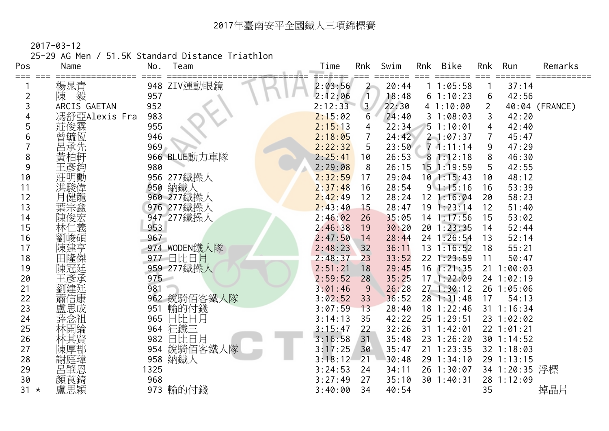2017-03-12

25-29 AG Men / 51.5K Standard Distance Triathlon

| Pos     | Name          | No.  | Team         | Time              | Rnk            | Swim  | Rnk | Bike           | Rnk            | Run            | Remarks        |
|---------|---------------|------|--------------|-------------------|----------------|-------|-----|----------------|----------------|----------------|----------------|
| === === | 楊晁青           |      | 948 ZIV運動眼鏡  | ======<br>2:03:56 | $\mathbf{2}$   | 20:44 |     | 11:05:58       |                | 37:14          |                |
| 2       | 毅<br>陳        | 957  |              | 2:12:06           | $\sqrt{1}$     | 18:48 |     | 61:10:23       | 6              | 42:56          |                |
| 3       | ARCIS GAETAN  | 952  |              | 2:12:33           | 3 <sup>7</sup> | 22:30 |     | 41:10:00       | $\overline{2}$ |                | 40:04 (FRANCE) |
|         | 馮舒亞Alexis Fra | 983  |              | 2:15:02           | 6              | 24:40 |     | 31:08:03       | 3              | 42:20          |                |
| 5       | 莊俊霖           | 955  |              | 2:15:13           | 4              | 22:34 |     | 51:10:01       | 4              | 42:40          |                |
| 6       | 管毓瓦先          | 946  |              | 2:18:05           | 7              | 24:42 |     | $2 - 1:07:37$  |                | 45:47          |                |
|         |               | 969  |              | 2:22:32           | 5              | 23:50 |     | $7 - 1:11:14$  | 9              | 47:29          |                |
| 8       | 黃柏軒           |      | 966 BLUE動力車隊 | 2:25:41           | 10             | 26:53 |     | 81:12:18       | 8              | 46:30          |                |
| 9       | 王彥鈐           | 980  |              | 2:29:08           | 8              | 26:15 |     | $15$ 1:19:59   | 5              | 42:55          |                |
| 10      | 莊明勳           |      | 956 277鐵操人   | 2:32:59           | 17             | 29:04 |     | $10$ 1:15:43   | 10             | 48:12          |                |
| 11      | 洪駿偉           | 950  | 納鐵人          | 2:37:48           | 16             | 28:54 |     | 91:15:16       | 16             | 53:39          |                |
| 12      | 月健龍           |      | 960 277鐵操人   | 2:42:49           | 12             | 28:24 |     | 12 1:16:04     | 20             | 58:23          |                |
| 13      | 葉宗鑫           |      | 976 277鐵操人   | 2:43:40           | 15             | 28:47 |     | 191:23:14      | 12             | 51:40          |                |
| 14      | 陳俊宏           |      | 947 277鐵操人   | 2:46:02           | 26             | 35:05 |     | $14$ 1:17:56   | 15             | 53:02          |                |
| 15      | 林仁義           | 953  |              | 2:46:38           | 19             | 30:20 |     | 20 1:23:35     | 14             | 52:44          |                |
| 16      | 劉峻碩           | 967  |              | 2:47:50           | 14             | 28:44 |     | 24 1:26:54     | 13             | 52:14          |                |
| 17      | 陳建亨           |      | 974 WODEN鐵人隊 | 2:48:23           | 32             | 36:11 |     | $13 \t1:16:52$ | 18             | 55:21          |                |
| 18      | 田隆傑           |      | 977 日比日月     | 2:48:37           | 23             | 33:52 |     | 22 1:23:59     | 11             | 50:47          |                |
| 19      | 陳冠廷           |      | 959 277鐵操人   | 2:51:21           | 18             | 29:45 |     | $16$ 1:21:35   |                | $21 \t1:00:03$ |                |
| 20      | 王彥承           | 975  |              | 2:59:52           | 28             | 35:25 |     | 171:22:09      |                | 24 1:02:19     |                |
| 21      | 劉建廷           | 981  |              | 3:01:46           | 9              | 26:28 |     | 271:30:12      |                | 26 1:05:06     |                |
| 22      | 蕭信康           |      | 962 銳騎佰客鐵人隊  | 3:02:52           | 33             | 36:52 |     | 28 1:31:48     | 17             | 54:13          |                |
| 23      | 盧思成           | 951  | 輸的付錢         | 3:07:59           | 13             | 28:40 |     | 18 1:22:46     |                | 31 1:16:34     |                |
| 24      | 薛念祖           | 965  | 日比日月         | 3:14:13           | 35             | 42:22 |     | 25 1:29:51     |                | 23 1:02:02     |                |
| 25      | 林開綸           |      | 964 狂鐵三      | 3:15:47           | 22             | 32:26 |     | $31 \t1:42:01$ |                | 22 1:01:21     |                |
| 26      | 林其賢           | 982  | 日比日月         | 3:16:58           | 31             | 35:48 |     | 23 1:26:20     |                | 30 1:14:52     |                |
| 27      | 陳厚郡           | 954  | 銳騎佰客鐵人隊      | 3:17:25           | 30             | 35:47 |     | $21 \t1:23:35$ |                | 32 1:18:03     |                |
| 28      | 謝<br>庭瑋       |      | 958 納鐵人      | 3:18:12           | 21             | 30:48 |     | 29 1:34:10     |                | 29 1:13:15     |                |
| 29      | 召肇恩<br>顏莨錡    | 1325 |              | 3:24:53           | 24             | 34:11 |     | 26 1:30:07     |                | 34 1:20:35 浮標  |                |
| 30      |               | 968  |              | 3:27:49           | 27             | 35:10 |     | 30 1:40:31     |                | 28 1:12:09     |                |
| $31 *$  | 盧思穎           | 973  | 輸的付錢         | 3:40:00           | 34             | 40:54 |     |                | 35             |                | 掉晶片            |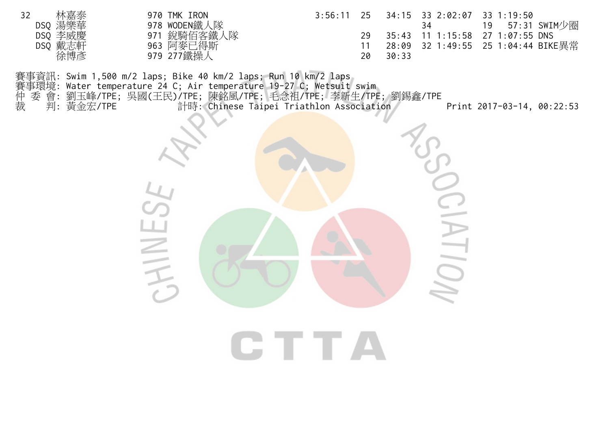| 林嘉泰<br>32 | 970 TMK IRON | $3:56:11$ 25 |       | 34:15 33 2:02:07 33 1:19:50 |                                    |
|-----------|--------------|--------------|-------|-----------------------------|------------------------------------|
| DSQ 湯樂華   | 978 WODEN鐵人隊 |              |       | 34                          | 19 57:31 SWIM少圈                    |
| DSQ 李威慶   | 971 銳騎佰客鐵人隊  | 29           |       |                             | 35:43 11 1:15:58 27 1:07:55 DNS    |
| DSQ 戴志軒   | 963 阿麥已得斯    |              |       |                             | 28:09 32 1:49:55 25 1:04:44 BIKE異常 |
| 徐博彥       | 979 277鐵操人   | 20           | 30:33 |                             |                                    |

賽事資訊: Swim 1,500 m/2 laps; Bike 40 km/2 laps; Run 10 km/2 laps<br>賽事環境: Water temperature 24 C; Air temperature 19-27 C; Wetsuit<br>仲 委 會: 劉玉峰/TPE; 吳國(王民)/TPE; 陳銘風/TPE; 毛念祖/TPE; 李新<br>裁 判: 黃金宏/TPE 計時: Chinese Taipei Triathlo 賽事環境: Water temperature 24 C; Air temperature 19-27 C; Wetsuit swim 仲 委 會: 劉玉峰/TPE; 吳國(王民)/TPE; 陳銘風/TPE; 毛念祖/TPE; 李新生/TPE; 劉錫鑫/TPE 裁 判: 黃金宏/TPE 計時: Chinese Taipei Triathlon Association Print 2017-03-14, 00:22:53

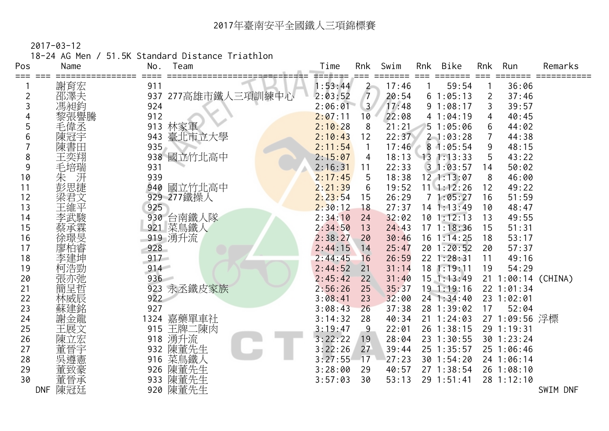18-24 AG Men / 51.5K Standard Distance Triathlon

| Pos | Name    | Team<br>No.           | Swim<br><b>Bike</b><br>Time<br>Rnk<br>Rnk<br>Rnk<br>Run<br>Remarks |  |
|-----|---------|-----------------------|--------------------------------------------------------------------|--|
| === | 謝育宏     | 911                   | 59:54<br>36:06<br>1:53:44<br>17:46<br>$\overline{2}$               |  |
| 2   | 邵澤夫     | 277高雄市鐵人三項訓練中心<br>937 | $\sqrt{7}$<br>2:03:52<br>20:54<br>61:05:13<br>37:46<br>2           |  |
| 3   | 馮昶鈞     | 924                   | 2:06:01<br>3 <sup>1</sup><br>17:48<br>91:08:17<br>3<br>39:57       |  |
|     | 黎張譽騰    | 912                   | 2:07:11<br>22:08<br>10<br>41:04:19<br>40:45<br>4                   |  |
| 5   | 毛偉丞     | 林家軍<br>913            | 2:10:28<br>21:21<br>8<br>51:05:06<br>44:02<br>6                    |  |
| 6   | 陳冠宇     | 臺北市立大學<br>943         | 2:10:43<br>22:37<br>44:38<br>12<br>$2 - 1:03:28$<br>7              |  |
|     | 陳書田     | 935                   | 2:11:54<br>17:46<br>81:05:54<br>9<br>48:15<br>$\mathbf{1}$         |  |
| 8   | 王奕翔     | 938 國立竹北高中            | 2:15:07<br>18:13<br>43:22<br>$13 \t1:13:33$<br>4                   |  |
| 9   | 毛培瑞     | 931                   | 2:16:31<br>22:33<br>31:03:57<br>50:02<br>11<br>14                  |  |
| 10  | 汧<br>朱  | 939                   | 18:38<br>$12$ $1:13:07$<br>2:17:45<br>5<br>46:00<br>8              |  |
| 11  | 彭思捷     | 940<br>國立竹北高中         | 2:21:39<br>19:52<br>$11 \quad 1:12:26$<br>49:22<br>6<br>12         |  |
| 12  | 梁君文     | 929 277鐵操人            | 2:23:54<br>26:29<br>71:05:27<br>51:59<br>16<br>15                  |  |
| 13  | 王維平     | 925                   | 2:30:12<br>27:37<br>$14$ 1:13:49<br>48:47<br>18<br>10              |  |
| 14  | 李武駿     | 930 台南鐵人隊             | 2:34:10<br>32:02<br>$10$ 1:12:13<br>24<br>49:55<br>13              |  |
| 15  | 祭承称     | 921 菜鳥鐵人              | 2:34:50<br>$17 \t1:18:36$<br>13<br>24:43<br>15<br>51:31            |  |
| 16  | 涂璟旻     | 919 湧升流               | 2:38:27<br>30:46<br>$16$ 1:14:25<br>53:17<br>20<br>18              |  |
| 17  |         | 928                   | 201:20:52<br>2:44:15<br>25:47<br>57:37<br>14<br>20                 |  |
| 18  |         | 917                   | 2:44:45<br>26:59<br>22 1:28:31<br>16<br>11<br>49:16                |  |
| 19  | 柯浩勁     | 914                   | 31:14<br>18 1:19:11<br>19<br>54:29<br>2:44:52<br>21                |  |
| 20  | 張亦弛     | 936                   | 2:45:42<br>22<br>31:40<br>$15$ 1:13:49<br>21 1:00:14 (CHINA)       |  |
| 21  | 簡呈哲     | 923 永丞鐵皮家族            | 2:56:26<br>25<br>35:37<br>19.1:19:16<br>22 1:01:34                 |  |
| 22  | 林威辰     | 922                   | 3:08:41<br>23<br>32:00<br>24 1:34:40<br>23 1:02:01                 |  |
| 23  | 蘇建銘     | 927                   | 3:08:43<br>37:38<br>17<br>52:04<br>26<br>28 1:39:02                |  |
| 24  | 謝金龍     | 嘉藥單車社<br>1324         | 27 1:09:56 浮標<br>3:14:32<br>28<br>40:34<br>$21 \t1:24:03$          |  |
| 25  | 王展文     | 王牌二陳肉<br>915          | 22:01<br>26 1:38:15<br>29 1:19:31<br>3:19:47<br>9                  |  |
| 26  |         | 湧升流<br>918            | 3:22:22<br>28:04<br>23 1:30:55<br>30 1:23:24<br>19                 |  |
| 27  | 董晉宇     | 陳董先生<br>932           | 3:22:26<br>27<br>39:44<br>25 1:35:57<br>25 1:06:46                 |  |
| 28  | 吳遵憲     | 菜鳥鐵人<br>916           | 3:27:55<br>27:23<br>30 1:54:20<br>17<br>24 1:06:14                 |  |
| 29  |         | 陳董先生<br>926           | 40:57<br>27 1:38:54<br>3:28:00<br>29<br>26 1:08:10                 |  |
| 30  | 董晉承     | 陳董先生<br>933           | 3:57:03<br>30<br>53:13<br>29 1:51:41<br>28 1:12:10                 |  |
|     | DNF 陳冠廷 | 920 陳董先生              | SWIM DNF                                                           |  |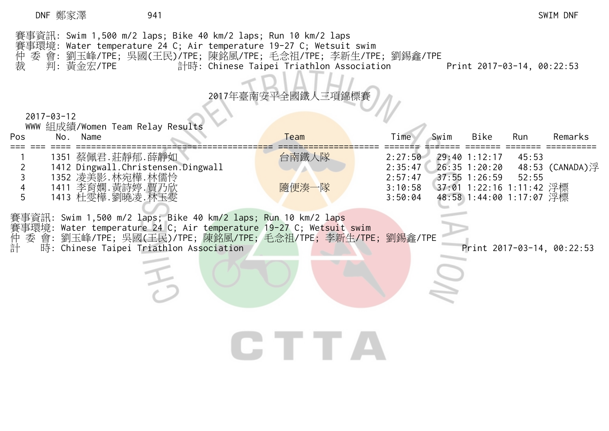## DNF 鄭家澤 941 SWIM DNF

| 仲裁         | 賽事資訊: Swim 1,500 m/2 laps; Bike 40 km/2 laps; Run 10 km/2 laps<br>賽事環境: Water temperature 24 C; Air temperature 19-27 C; Wetsuit swim<br>委 會: 劉玉峰/TPE; 吳國(王民)/TPE; 陳銘風/TPE; 毛念祖/TPE; 李新生/TPE; 劉錫鑫/TPE<br>判: 黃金宏/TPE | 計時: Chinese Taipei Triathlon Association |                               | Print 2017-03-14, 00:22:53                          |                         |           |
|------------|---------------------------------------------------------------------------------------------------------------------------------------------------------------------------------------------------------------------|------------------------------------------|-------------------------------|-----------------------------------------------------|-------------------------|-----------|
|            | $2017 - 03 - 12$                                                                                                                                                                                                    | 2017年臺南安平全國鐵人三項錦標賽                       |                               |                                                     |                         |           |
|            | WWW 組成績/Women Team Relay Results                                                                                                                                                                                    |                                          |                               |                                                     |                         |           |
| <b>Pos</b> | No.<br>Name                                                                                                                                                                                                         | Team                                     | Swim<br>Time                  | Bike                                                | Run                     | Remarks   |
|            | 1351 蔡佩君.莊靜郁.薛靜如<br>1412 Dingwall.Christensen.Dingwall<br>1352 凌美影.林宛樺.林儒怜                                                                                                                                          | 台南鐵人隊                                    | 2:27:50<br>2:35:47<br>2:57:47 | 29:40 1:12:17<br>$26:35$ 1:20:20<br>$37:55$ 1:26:59 | 45:53<br>48:53<br>52:55 | (CANADA)浮 |

CTTA

 4 1411 李育嫻.黃詩婷.賈乃欣 隨便湊一隊 3:10:58 37:01 1:22:16 1:11:42 浮標 5 1413 杜雯樺.劉曉凌.林玉雯 3:50:04 48:58 1:44:00 1:17:07 浮標

賽事資訊: Swim 1,500 m/2 laps; Bike 40 km/2 laps; Run 10 km/2 laps<br>賽事環境: Water temperature 24 C; Air temperature 19-27 C; Wetsuit<br>仲 委 會: 劉玉峰/TPE; 吳國(王民)/TPE; 陳銘風/TPE; 毛念祖/TPE; 李新<br>計 時: Chinese Taipei Triathlon Association 賽事環境: Water temperature 24 C; Air temperature 19-27 C; Wetsuit swim 仲 委 會: 劉玉峰/TPE; 吳國(王民)/TPE; 陳銘風/TPE; 毛念祖/TPE; 李新生/TPE; 劉錫鑫/TPE

時: Chinese Taipei Triathlon Association 2017-03-14, 00:22:53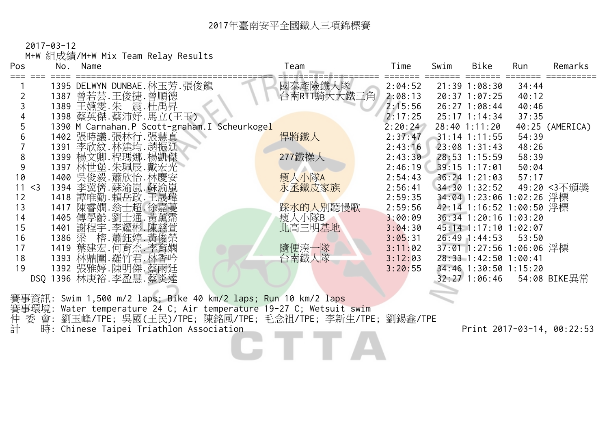2017-03-12

M+W 組成績/M+W Mix Team Relay Results

| Pos         | No. | Name                                                           | Team        | Time    | Swim | Bike                     | Run   | Remarks         |
|-------------|-----|----------------------------------------------------------------|-------------|---------|------|--------------------------|-------|-----------------|
|             |     | 1395 DELWYN DUNBAE.林玉芳.張俊龍                                     | 國泰產險鐵人隊     | 2:04:52 |      | $21:39$ $1:08:30$        | 34:44 |                 |
|             |     | 1387 曾若芸.王俊捷.曾順德                                               | 台南RTT騎大大鐵三角 | 2:08:13 |      | $20:37$ 1:07:25          | 40:12 |                 |
|             |     | 1389 王嬿雯.朱 震.杜禹昇                                               |             | 2:15:56 |      | $26:27$ 1:08:44          | 40:46 |                 |
|             |     | 1398 蔡英傑.蔡沛妤.馬立(王玉)                                            |             | 2:17:25 |      | 25:17 1:14:34            | 37:35 |                 |
|             |     | 1390 M Carnahan.P Scott-graham.I Scheurkogel                   |             | 2:20:24 |      | $28:40$ 1:11:20          |       | 40:25 (AMERICA) |
|             |     | 1402 張時議.張林行.張慧真                                               | 悍將鐵人        | 2:37:47 |      | $31:14$ 1:11:55          | 54:39 |                 |
|             |     | 1391 李欣紋.林建均.趙振廷.                                              |             | 2:43:16 |      | $23:08$ 1:31:43          | 48:26 |                 |
| 8           |     | 1399 楊文卿.程瑪娜.楊凱傑                                               | 277鐵操人      | 2:43:30 |      | 28:53 1:15:59            | 58:39 |                 |
| 9           |     | 1397 林世堡.朱珮辰.戴宏光                                               |             | 2:46:19 |      | 39:15 1:17:01            | 50:04 |                 |
| 10          |     | 1400 吴俊毅. 蕭欣怡. 林慶安                                             | 瘦人小隊A       | 2:54:43 |      | $36:24$ 1:21:03          | 57:17 |                 |
| 11<br>$<$ 3 |     | 1394 李冀儕. 蘇渝嵐. 蘇渝嵐                                             | 永丞鐵皮家族      | 2:56:41 |      | $34:30$ 1:32:52          |       | 49:20 <3不頒獎     |
| 12          |     | 1418 譚唯勤.賴岳政.王晟瑋                                               |             | 2:59:35 |      | 34:04 1:23:06 1:02:26 浮標 |       |                 |
| 13          |     | 1417 陳睿嫺.翁士超.徐嘉蔓                                               | 踩水的人別聽慢歌    | 2:59:56 |      | 42:14 1:16:52 1:00:50 浮標 |       |                 |
| 14          |     | 1405 傅學齡.劉士通.黃薰霈                                               | 瘦人小隊B       | 3:00:09 |      | 36:34 1:20:16 1:03:20    |       |                 |
| 15          |     | 1401 謝程宇.李耀彬.陳慈萱                                               | 北高三明基地      | 3:04:30 |      | 45:14 1:17:10 1:02:07    |       |                 |
| 16          |     | 1386 梁 榕.蕭鈺婷.黃俊榮                                               |             | 3:05:31 |      | $26:49$ 1:44:53          | 53:50 |                 |
| 17          |     | 1419 葉建宏. 何育杰. 李育嫻                                             | 隨便湊一隊       | 3:11:02 |      | 37:01 1:27:56 1:06:06 浮標 |       |                 |
| 18          |     | 1393 林鼎圍.羅竹君.林香吟                                               | 台南鐵人隊       | 3:12:03 |      | 28:33 1:42:50 1:00:41    |       |                 |
| 19          |     | 1392 張雅婷.陳明傑.蔡雨廷                                               |             | 3:20:55 |      | 34:46 1:30:50 1:15:20    |       |                 |
|             |     | DSQ 1396 林庚裕.李盈慧.蔡炎達                                           |             |         |      | 32:27 1:06:46            |       | - 54:08 BIKE異常  |
|             |     | 寒事咨訊· Swim 1 500 m/2 lans· Rike 40 km/2 lans· Run 10 km/2 lans |             |         |      |                          |       |                 |

賽事資訊: Swim 1,500 m/2 laps; Bike 40 km/2 laps; Run 10 km/2 laps 賽事環境: Water temperature 24 C; Air temperature 19-27 C; Wetsuit swim 賽仲計 委 會: 劉玉峰/TPE; 吳國(王民)/TPE; 陳銘風/TPE; 毛念祖/TPE; 李新生/TPE; 劉錫鑫/TPE 計 時: Chinese Taipei Triathlon Association Print 2017-03-14, 00:22:53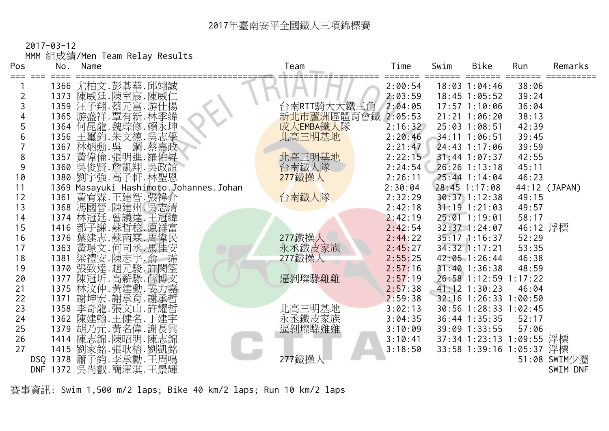2017-03-12

MMM 組成績/Men Team Relay Results

| Pos            |      | No. Name                                 | Team        | Time    | Swim | Bike                     | Run      | Remarks       |
|----------------|------|------------------------------------------|-------------|---------|------|--------------------------|----------|---------------|
|                |      | 1366 尤柏文.彭碁華.邱翊誠                         |             | 2:00:54 |      | $18:03$ $1:04:46$        | 38:06    |               |
| $\overline{2}$ |      | 1373 陳威廷.陳室宸.陳威仁                         |             | 2:03:59 |      | $18:45$ 1:05:52          | 39:24    |               |
| 3              |      | 1359 汪子翔.蔡元富.游仕揚                         | 台南RTT騎大大鐵三角 | 2:04:05 |      | $17:57$ $1:10:06$        | 36:04    |               |
|                |      | 1365 游盛祥.覃有新.林季緯                         | 新北市蘆洲區體育會鐵  | 2:05:53 |      | $21:21$ $1:06:20$        | 38:13    |               |
| 5              |      | 1364 何昆龍.魏琮修.賴永坤                         | 成大EMBA鐵人隊   | 2:16:32 |      | 25:03 1:08:51            | 42:39    |               |
| 6              |      | 1356 王璽鈞.朱文德.吳志學                         | 北高三明基地      | 2:20:46 |      | $34:11$ 1:06:51          | 39:45    |               |
|                |      | 1367 林炳勳.吳 鋼.蔡嘉政                         |             | 2:21:47 |      | $24:43$ 1:17:06          | 39:59    |               |
| 8              |      | 1357 黃偉倫.張明進.羅佑昇                         | 北高三明基地      | 2:22:15 |      | $31:44$ 1:07:37          | 42:55    |               |
| 9              |      | 1360 吳俊賢.詹凱翔.吳政誼                         | 台南鐵人隊       | 2:24:54 |      | 26:26 1:13:18            | 45:11    |               |
| 10             |      | 1380 劉宇強.高子軒.林聖恩                         | 277鐵操人      | 2:26:11 |      | 25:44 1:14:04            | 46:23    |               |
| 11             |      | 1369 Masayuki Hashimoto.Johannes.Johan   |             | 2:30:04 |      | 28:45 1:17:08            |          | 44:12 (JAPAN) |
| 12             |      | 1361 黃宥霖.王建智.張禕介                         | 台南鐵人隊       | 2:32:29 |      | $30:37$ 1:12:38          | 49:15    |               |
| 13             |      | 1368 馮國晉.陳建州.吳志清                         |             | 2:42:18 |      | $31:19$ 1:21:03          | 49:57    |               |
| 14             |      | 1374 林冠廷.曾議達.王冠緯                         |             | 2:42:19 |      | $25:01$ 1:19:01          | 58:17    |               |
| 15             |      | 1416 都子謙.蘇哲稔.原祥富                         |             | 2:42:54 |      | 32:37 1:24:07            | 46:12 浮標 |               |
| 16             |      | 1376 葉建志.蘇南霖.周偉民                         | 277鐵操人      | 2:44:22 |      | 35:17 1:16:37            | 52:29    |               |
| 17             |      | 1363 黃璟文. 何司丞. 馬佳安                       | 永丞鐵皮家族      | 2:45:27 |      | $34:32$ 1:17:21          | 53:35    |               |
| 18             | 1381 | 梁禮安.陳志宇.俞 霈                              | 277鐵操人      | 2:55:25 |      | $42:05$ 1:26:44          | 46:38    |               |
| 19             |      | 1370 張致達.趙元駿.許閔筌                         |             | 2:57:16 |      | $31:40$ 1:36:38          | 48:59    |               |
| 20             |      | 1377 陳冠圻. 高薪騄. 薛博文                       | 逼剝璨騄雞雞      | 2:57:19 |      | 26:58 1:12:59 1:17:22    |          |               |
| 21             |      | 1375 林汶仲.黃建勳.姜力嘉                         |             | 2:57:38 |      | $41:12$ $1:30:23$        | 46:04    |               |
| 22             | 1371 | 謝坤宏.謝承育.謝承哲                              |             | 2:59:38 |      | 32:16 1:26:33 1:00:50    |          |               |
| 23             |      | 1358 李奇龍.張文山.許耀哲                         | 北高三明基地      | 3:02:13 |      | 30:56 1:28:33 1:02:45    |          |               |
| 24             |      | 1362 陳建翰.王健名.丁建宇                         | 永丞鐵皮家族      | 3:04:35 |      | 36:44 1:35:35            | 52:17    |               |
| 25             |      | 1379 胡乃元. 黃名偉. 謝長興<br>1414 陳志錦. 陳昭明. 陳志錦 | 逼剝璨騄雞雞      | 3:10:09 |      | 39:09 1:33:55            | 57:06    |               |
| 26             |      |                                          |             | 3:10:41 |      | 37:34 1:23:13 1:09:55 浮標 |          |               |
| 27             |      | 1415 劉家銘.張耿榕.劉凱銘                         |             | 3:18:50 |      | 33:58 1:39:16 1:05:37 浮標 |          |               |
|                |      | DSQ 1378 蕭子鈞. 李承勳. 王周鳴                   | 277鐵操人      |         |      |                          |          | 51:08 SWIM少圈  |
|                |      | DNF 1372 吳尚叡.簡渾淇.王景輝                     |             |         |      |                          |          | SWIM DNF      |

賽事資訊: Swim 1,500 m/2 laps; Bike 40 km/2 laps; Run 10 km/2 laps